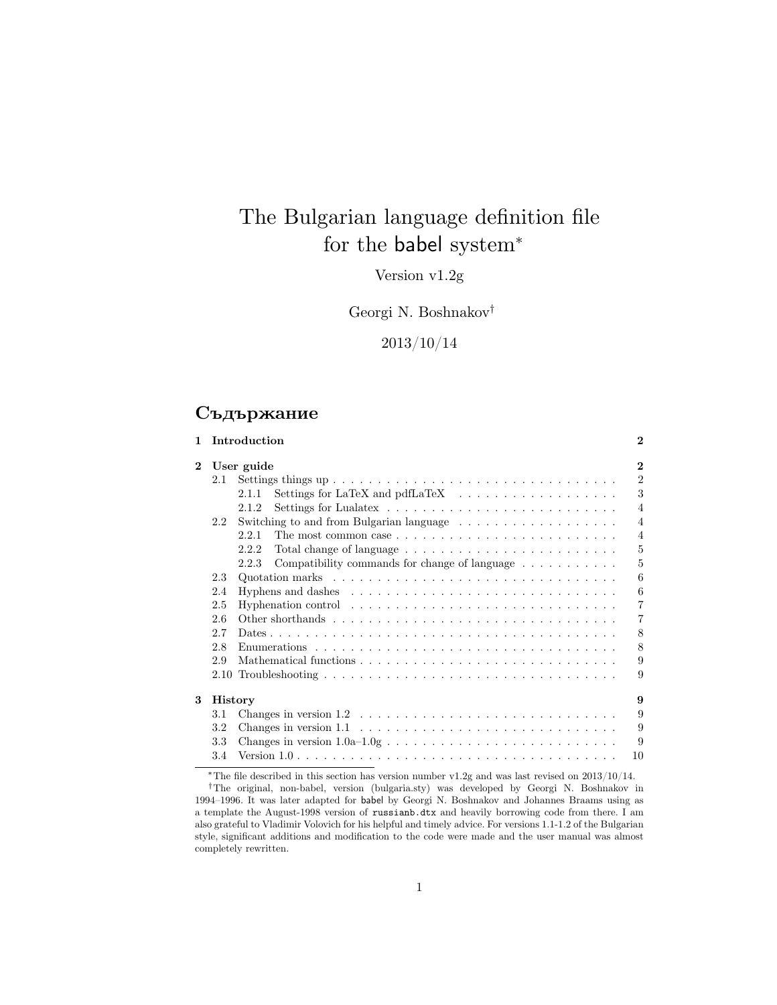# The Bulgarian language definition file for the babel system<sup>\*</sup>

Version v1.2g

Georgi N. Boshnakov†

2013/10/14

### **Съдържание**

|          |                | 1 Introduction                                                                                     | $\mathbf{2}$   |
|----------|----------------|----------------------------------------------------------------------------------------------------|----------------|
| $\bf{2}$ |                | User guide                                                                                         | $\mathbf{2}$   |
|          | 2.1            |                                                                                                    | $\overline{2}$ |
|          |                | 2.1.1                                                                                              | 3              |
|          |                | 2.1.2                                                                                              | $\overline{4}$ |
|          | 2.2.           | Switching to and from Bulgarian language $\dots \dots \dots \dots \dots \dots$                     | $\overline{4}$ |
|          |                | 221                                                                                                | $\overline{4}$ |
|          |                | 2.2.2                                                                                              | 5              |
|          |                | Compatibility commands for change of language $\dots \dots \dots$<br>2.2.3                         | 5              |
|          | 2.3            |                                                                                                    | 6              |
|          | 2.4            | Hyphens and dashes $\ldots \ldots \ldots \ldots \ldots \ldots \ldots \ldots \ldots \ldots$         | 6              |
|          | 2.5            | Hyphenation control $\dots \dots \dots \dots \dots \dots \dots \dots \dots \dots \dots$            | 7              |
|          | 2.6            |                                                                                                    | $\overline{7}$ |
|          | 2.7            |                                                                                                    | 8              |
|          | 2.8            | Enumerations $\ldots \ldots \ldots \ldots \ldots \ldots \ldots \ldots \ldots \ldots \ldots \ldots$ | 8              |
|          | 2.9            |                                                                                                    | 9              |
|          |                |                                                                                                    | 9              |
| 3        | <b>History</b> |                                                                                                    | 9              |
|          | 3.1            | Changes in version $1.2 \ldots \ldots \ldots \ldots \ldots \ldots \ldots \ldots \ldots \ldots$     | 9              |
|          | 3.2            | Changes in version $1.1 \ldots \ldots \ldots \ldots \ldots \ldots \ldots \ldots \ldots \ldots$     | 9              |
|          | 3.3            | Changes in version $1.0a-1.0g \ldots \ldots \ldots \ldots \ldots \ldots \ldots \ldots \ldots$      | 9              |
|          | 3.4            |                                                                                                    | 10             |

 $^{\ast} \mathrm{The}$  file described in this section has version number v1.2g and was last revised on 2013/10/14.

<sup>†</sup>The original, non-babel, version (bulgaria.sty) was developed by Georgi N. Boshnakov in 1994–1996. It was later adapted for babel by Georgi N. Boshnakov and Johannes Braams using as a template the August-1998 version of russianb.dtx and heavily borrowing code from there. I am also grateful to Vladimir Volovich for his helpful and timely advice. For versions 1.1-1.2 of the Bulgarian style, significant additions and modification to the code were made and the user manual was almost completely rewritten.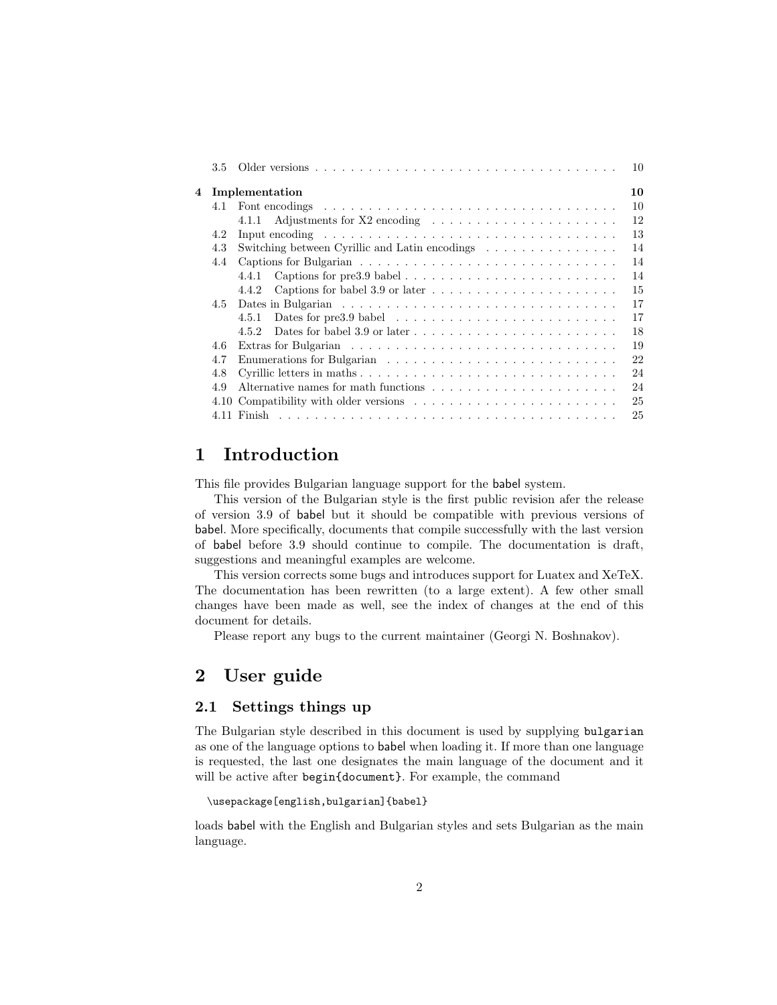|   | 3.5 |                                                                                                  | 10 |
|---|-----|--------------------------------------------------------------------------------------------------|----|
| 4 |     | Implementation                                                                                   | 10 |
|   | 4.1 |                                                                                                  | 10 |
|   |     | 4.1.1                                                                                            | 12 |
|   | 4.2 | Input encoding $\dots \dots \dots \dots \dots \dots \dots \dots \dots \dots \dots \dots \dots$   | 13 |
|   | 4.3 | Switching between Cyrillic and Latin encodings                                                   | 14 |
|   | 4.4 |                                                                                                  | 14 |
|   |     | 4.4.1                                                                                            | 14 |
|   |     | 4.4.2                                                                                            | 15 |
|   | 4.5 |                                                                                                  | 17 |
|   |     | Dates for pre3.9 babel $\ldots \ldots \ldots \ldots \ldots \ldots \ldots \ldots \ldots$<br>4.5.1 | 17 |
|   |     | 4.5.2                                                                                            | 18 |
|   | 4.6 |                                                                                                  | 19 |
|   | 4.7 |                                                                                                  | 22 |
|   | 4.8 |                                                                                                  | 24 |
|   | 4.9 |                                                                                                  | 24 |
|   |     |                                                                                                  | 25 |
|   |     |                                                                                                  | 25 |
|   |     |                                                                                                  |    |

### **1 Introduction**

This file provides Bulgarian language support for the babel system.

This version of the Bulgarian style is the first public revision afer the release of version 3.9 of babel but it should be compatible with previous versions of babel. More specifically, documents that compile successfully with the last version of babel before 3.9 should continue to compile. The documentation is draft, suggestions and meaningful examples are welcome.

This version corrects some bugs and introduces support for Luatex and XeTeX. The documentation has been rewritten (to a large extent). A few other small changes have been made as well, see the index of changes at the end of this document for details.

Please report any bugs to the current maintainer (Georgi N. Boshnakov).

### **2 User guide**

#### **2.1 Settings things up**

The Bulgarian style described in this document is used by supplying bulgarian as one of the language options to babel when loading it. If more than one language is requested, the last one designates the main language of the document and it will be active after begin{document}. For example, the command

```
\usepackage[english,bulgarian]{babel}
```
loads babel with the English and Bulgarian styles and sets Bulgarian as the main language.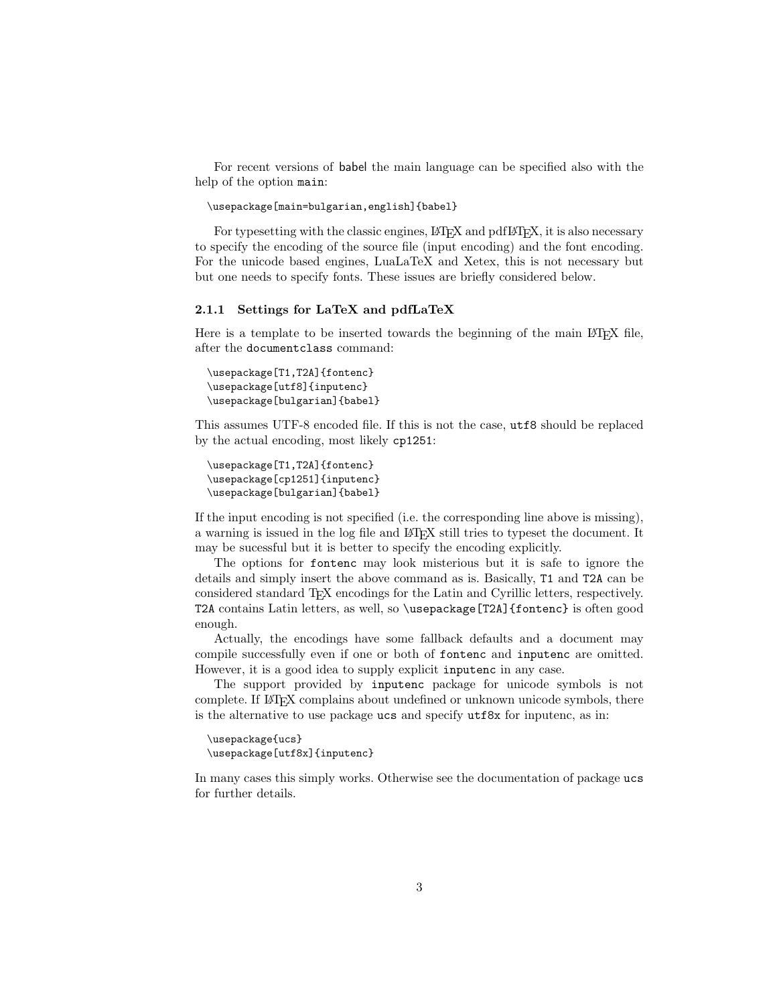For recent versions of babel the main language can be specified also with the help of the option main:

#### \usepackage[main=bulgarian,english]{babel}

For typesetting with the classic engines,  $\Delta T$ <sub>F</sub>X and pdf $\Delta T$ <sub>F</sub>X, it is also necessary to specify the encoding of the source file (input encoding) and the font encoding. For the unicode based engines, LuaLaTeX and Xetex, this is not necessary but but one needs to specify fonts. These issues are briefly considered below.

#### **2.1.1 Settings for LaTeX and pdfLaTeX**

Here is a template to be inserted towards the beginning of the main LATEX file, after the documentclass command:

```
\usepackage[T1,T2A]{fontenc}
\usepackage[utf8]{inputenc}
\usepackage[bulgarian]{babel}
```
This assumes UTF-8 encoded file. If this is not the case, utf8 should be replaced by the actual encoding, most likely cp1251:

```
\usepackage[T1,T2A]{fontenc}
\usepackage[cp1251]{inputenc}
\usepackage[bulgarian]{babel}
```
If the input encoding is not specified (i.e. the corresponding line above is missing), a warning is issued in the log file and LATEX still tries to typeset the document. It may be sucessful but it is better to specify the encoding explicitly.

The options for fontenc may look misterious but it is safe to ignore the details and simply insert the above command as is. Basically, T1 and T2A can be considered standard TEX encodings for the Latin and Cyrillic letters, respectively. T2A contains Latin letters, as well, so \usepackage[T2A]{fontenc} is often good enough.

Actually, the encodings have some fallback defaults and a document may compile successfully even if one or both of fontenc and inputenc are omitted. However, it is a good idea to supply explicit inputenc in any case.

The support provided by inputenc package for unicode symbols is not complete. If LATEX complains about undefined or unknown unicode symbols, there is the alternative to use package ucs and specify utf8x for inputenc, as in:

```
\usepackage{ucs}
\usepackage[utf8x]{inputenc}
```
In many cases this simply works. Otherwise see the documentation of package ucs for further details.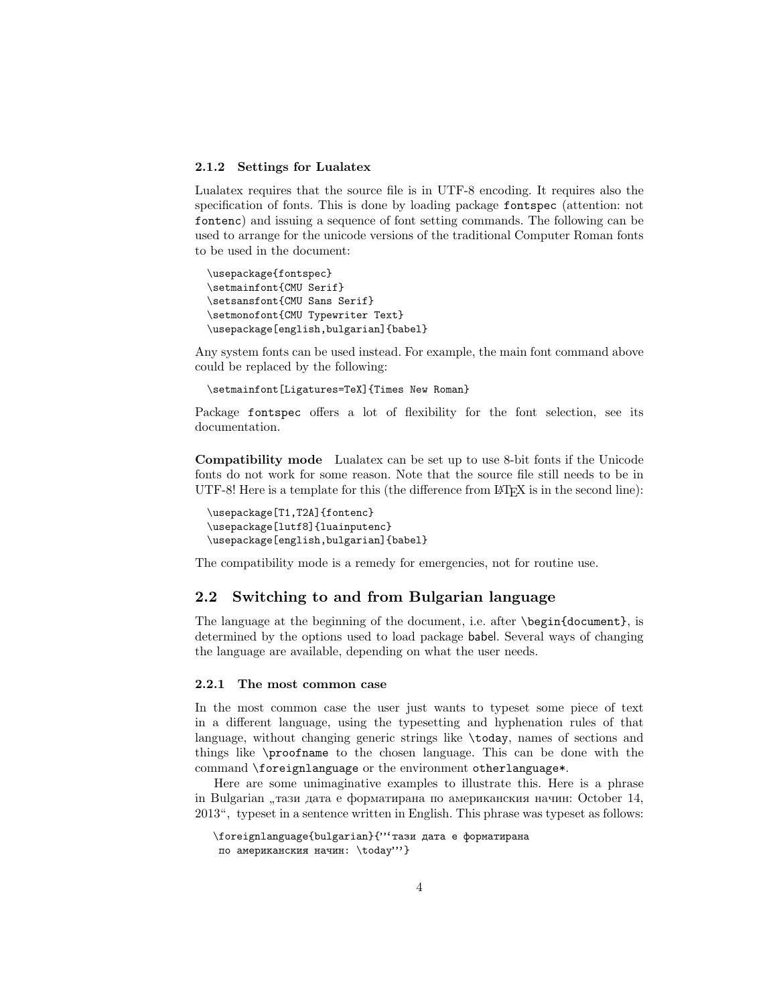#### **2.1.2 Settings for Lualatex**

Lualatex requires that the source file is in UTF-8 encoding. It requires also the specification of fonts. This is done by loading package fontspec (attention: not fontenc) and issuing a sequence of font setting commands. The following can be used to arrange for the unicode versions of the traditional Computer Roman fonts to be used in the document:

```
\usepackage{fontspec}
\setmainfont{CMU Serif}
\setsansfont{CMU Sans Serif}
\setmonofont{CMU Typewriter Text}
\usepackage[english,bulgarian]{babel}
```
Any system fonts can be used instead. For example, the main font command above could be replaced by the following:

\setmainfont[Ligatures=TeX]{Times New Roman}

Package fontspec offers a lot of flexibility for the font selection, see its documentation.

**Compatibility mode** Lualatex can be set up to use 8-bit fonts if the Unicode fonts do not work for some reason. Note that the source file still needs to be in UTF-8! Here is a template for this (the difference from LAT<sub>EX</sub> is in the second line):

```
\usepackage[T1,T2A]{fontenc}
\usepackage[lutf8]{luainputenc}
\usepackage[english,bulgarian]{babel}
```
The compatibility mode is a remedy for emergencies, not for routine use.

#### **2.2 Switching to and from Bulgarian language**

The language at the beginning of the document, i.e. after \begin{document}, is determined by the options used to load package babel. Several ways of changing the language are available, depending on what the user needs.

#### **2.2.1 The most common case**

In the most common case the user just wants to typeset some piece of text in a different language, using the typesetting and hyphenation rules of that language, without changing generic strings like \today, names of sections and things like \proofname to the chosen language. This can be done with the command \foreignlanguage or the environment otherlanguage\*.

Here are some unimaginative examples to illustrate this. Here is a phrase in Bulgarian "тази дата е форматирана по американския начин: October 14,<br>2012", turnstiche sentimes with us Fuelish This phase was tweed as follows: 2013", typeset in a sentence written in English. This phrase was typeset as follows:

```
\foreignlanguage{bulgarian}{"'тази дата е форматирана
по американския начин: \today"'}
```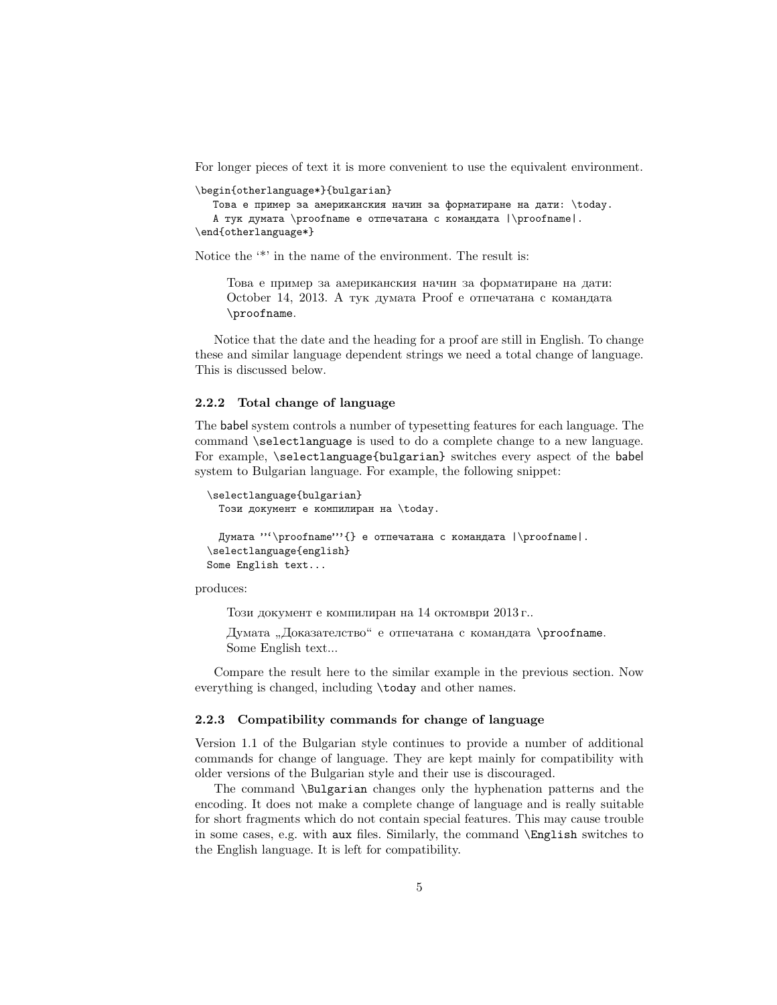For longer pieces of text it is more convenient to use the equivalent environment.

```
\begin{otherlanguage*}{bulgarian}
```

```
Това е пример за американския начин за форматиране на дати: \today.
   А тук думата \proofname е отпечатана с командата |\proofname|.
\end{otherlanguage*}
```
Notice the  $\cdot^*$  in the name of the environment. The result is:

Това е пример за американския начин за форматиране на дати: October 14, 2013. А тук думата Proof е отпечатана с командата \proofname.

Notice that the date and the heading for a proof are still in English. To change these and similar language dependent strings we need a total change of language. This is discussed below.

#### **2.2.2 Total change of language**

The babel system controls a number of typesetting features for each language. The command \selectlanguage is used to do a complete change to a new language. For example, \selectlanguage{bulgarian} switches every aspect of the babel system to Bulgarian language. For example, the following snippet:

```
\selectlanguage{bulgarian}
 Този документ е компилиран на \today.
 Думата "'\proofname'"{} е отпечатана с командата |\proofname|.
\selectlanguage{english}
```
produces:

Some English text...

Този документ е компилиран на 14 октомври 2013 г..

Думата "Доказателство" е отпечатана с командата \proofname.<br>Same Freelish text Some English text...

Compare the result here to the similar example in the previous section. Now everything is changed, including \today and other names.

#### **2.2.3 Compatibility commands for change of language**

Version 1.1 of the Bulgarian style continues to provide a number of additional commands for change of language. They are kept mainly for compatibility with older versions of the Bulgarian style and their use is discouraged.

The command \Bulgarian changes only the hyphenation patterns and the encoding. It does not make a complete change of language and is really suitable for short fragments which do not contain special features. This may cause trouble in some cases, e.g. with aux files. Similarly, the command \English switches to the English language. It is left for compatibility.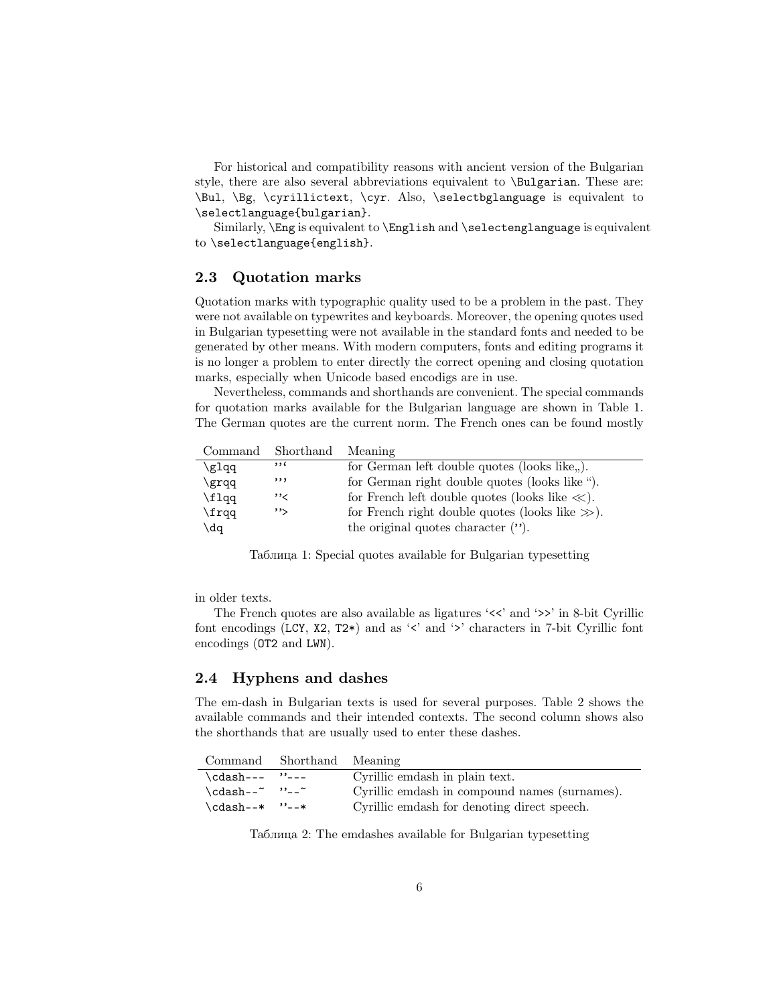For historical and compatibility reasons with ancient version of the Bulgarian style, there are also several abbreviations equivalent to \Bulgarian. These are: \Bul, \Bg, \cyrillictext, \cyr. Also, \selectbglanguage is equivalent to \selectlanguage{bulgarian}.

Similarly, \Eng is equivalent to \English and \selectenglanguage is equivalent to \selectlanguage{english}.

#### **2.3 Quotation marks**

Quotation marks with typographic quality used to be a problem in the past. They were not available on typewrites and keyboards. Moreover, the opening quotes used in Bulgarian typesetting were not available in the standard fonts and needed to be generated by other means. With modern computers, fonts and editing programs it is no longer a problem to enter directly the correct opening and closing quotation marks, especially when Unicode based encodigs are in use.

Nevertheless, commands and shorthands are convenient. The special commands for quotation marks available for the Bulgarian language are shown in Table 1. The German quotes are the current norm. The French ones can be found mostly

|       | Command Shorthand Meaning |                                                     |
|-------|---------------------------|-----------------------------------------------------|
| \glqq | , 16                      | for German left double quotes (looks like,).        |
| \grqq | ,,,                       | for German right double quotes (looks like ").      |
| \flaa | ,,                        | for French left double quotes (looks like $\ll$ ).  |
| \frqq | ''>                       | for French right double quotes (looks like $\gg$ ). |
| \dq   |                           | the original quotes character $($                   |

Таблица 1: Special quotes available for Bulgarian typesetting

in older texts.

The French quotes are also available as ligatures ' $\lt\lt'$ ' and ' $\gt\gt'$ ' in 8-bit Cyrillic font encodings (LCY,  $X2$ ,  $T2*$ ) and as ' $\lt'$  and ' $\gt'$  characters in 7-bit Cyrillic font encodings (OT2 and LWN).

#### **2.4 Hyphens and dashes**

The em-dash in Bulgarian texts is used for several purposes. Table 2 shows the available commands and their intended contexts. The second column shows also the shorthands that are usually used to enter these dashes.

|                 | Command Shorthand Meaning |                                               |
|-----------------|---------------------------|-----------------------------------------------|
| $\cdots$ "---   |                           | Cyrillic emdash in plain text.                |
| \cdash--~ ''--~ |                           | Cyrillic emdash in compound names (surnames). |
| \cdash--* ''--* |                           | Cyrillic emdash for denoting direct speech.   |

Таблица 2: The emdashes available for Bulgarian typesetting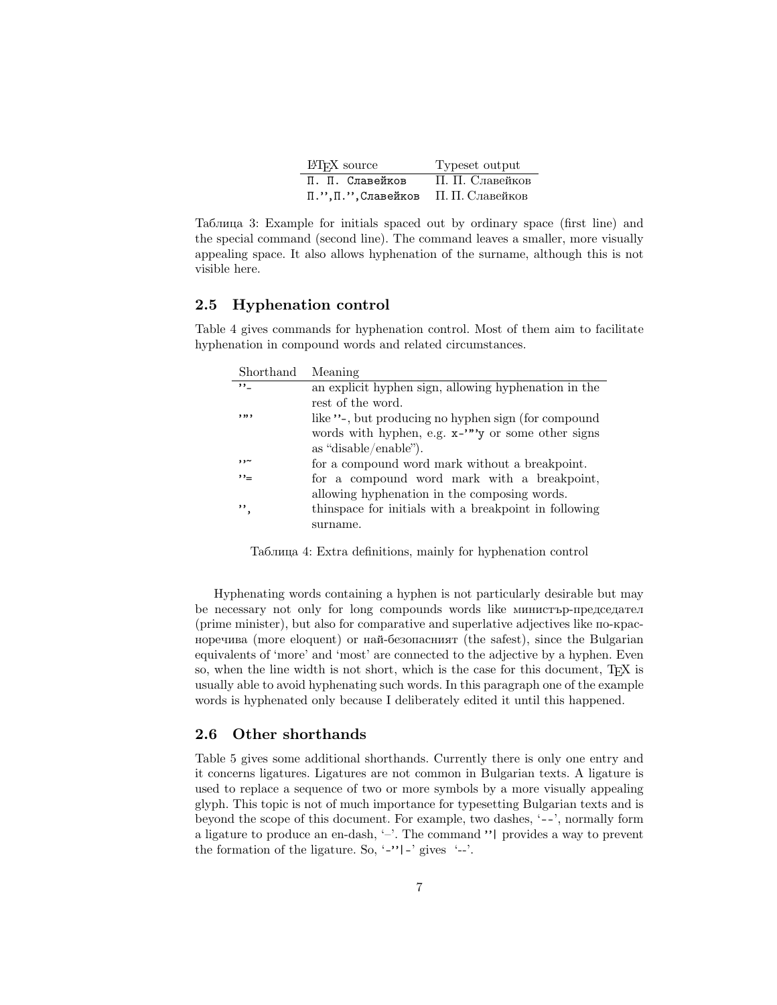| LAT <sub>F</sub> X source           | Typeset output  |
|-------------------------------------|-----------------|
| П. П. Славейков                     | П. П. Славейков |
| П.", П.", Славейков П. П. Славейков |                 |

Таблица 3: Example for initials spaced out by ordinary space (first line) and the special command (second line). The command leaves a smaller, more visually appealing space. It also allows hyphenation of the surname, although this is not visible here.

#### **2.5 Hyphenation control**

Table 4 gives commands for hyphenation control. Most of them aim to facilitate hyphenation in compound words and related circumstances.

| Shorthand | Meaning                                                |
|-----------|--------------------------------------------------------|
| $, \, \,$ | an explicit hyphen sign, allowing hyphenation in the   |
|           | rest of the word.                                      |
| ,,,,      | like "-, but producing no hyphen sign (for compound    |
|           | words with hyphen, e.g. $x$ -""y or some other signs   |
|           | as "disable/enable").                                  |
| ~د د      | for a compound word mark without a breakpoint.         |
| ,,_       | for a compound word mark with a breakpoint,            |
|           | allowing hyphenation in the composing words.           |
| ,,        | thin space for initials with a breakpoint in following |
|           | surname.                                               |

Таблица 4: Extra definitions, mainly for hyphenation control

Hyphenating words containing a hyphen is not particularly desirable but may be necessary not only for long compounds words like министър-председател (prime minister), but also for comparative and superlative adjectives like по-красноречива (more eloquent) or най-безопасният (the safest), since the Bulgarian equivalents of 'more' and 'most' are connected to the adjective by a hyphen. Even so, when the line width is not short, which is the case for this document, T<sub>E</sub>X is usually able to avoid hyphenating such words. In this paragraph one of the example words is hyphenated only because I deliberately edited it until this happened.

#### **2.6 Other shorthands**

Table 5 gives some additional shorthands. Currently there is only one entry and it concerns ligatures. Ligatures are not common in Bulgarian texts. A ligature is used to replace a sequence of two or more symbols by a more visually appealing glyph. This topic is not of much importance for typesetting Bulgarian texts and is beyond the scope of this document. For example, two dashes, '--', normally form a ligature to produce an en-dash, '–'. The command "| provides a way to prevent the formation of the ligature. So,  $\lq$ -' $\lq$ |-' gives  $\lq$ --'.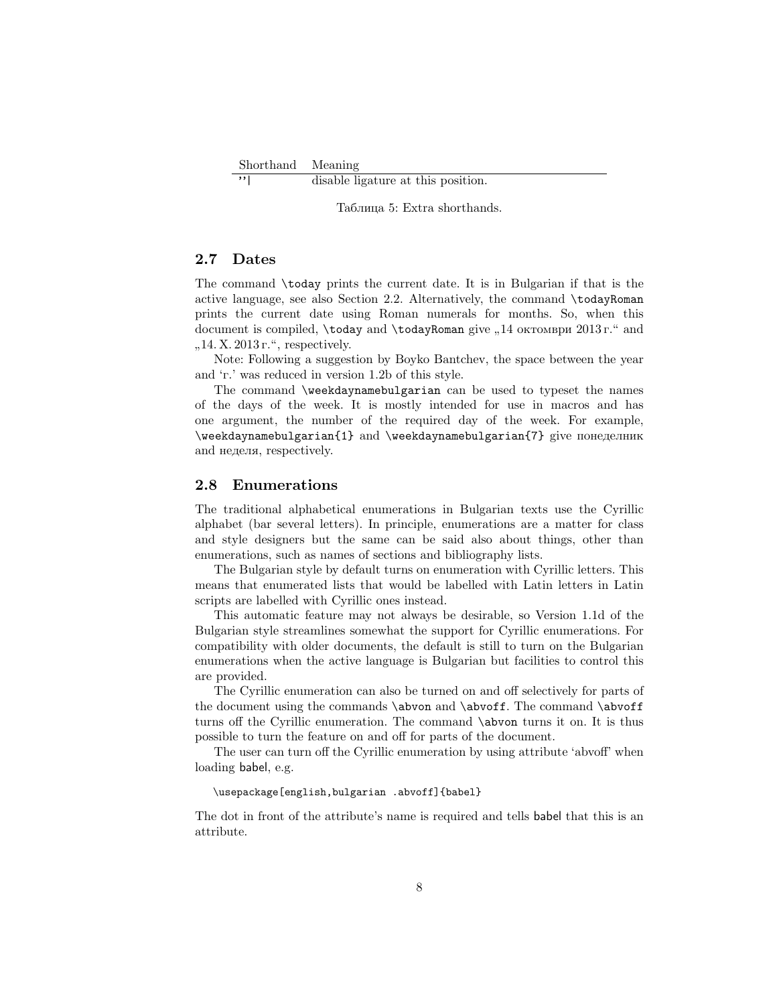Shorthand Meaning<br>  $\frac{1}{\gamma}$  disable li

disable ligature at this position.

Таблица 5: Extra shorthands.

#### **2.7 Dates**

The command \today prints the current date. It is in Bulgarian if that is the active language, see also Section 2.2. Alternatively, the command \todayRoman prints the current date using Roman numerals for months. So, when this document is compiled,  $\text{body}$  and  $\text{body}$  and  $\text{div}$   $\eta$ , 14 октомври 2013 г." and  $,14$ . X. 2013 г.", respectively.

Note: Following a suggestion by Boyko Bantchev, the space between the year and 'г.' was reduced in version 1.2b of this style.

The command \weekdaynamebulgarian can be used to typeset the names of the days of the week. It is mostly intended for use in macros and has one argument, the number of the required day of the week. For example, \weekdaynamebulgarian{1} and \weekdaynamebulgarian{7} give понеделник and неделя, respectively.

#### **2.8 Enumerations**

The traditional alphabetical enumerations in Bulgarian texts use the Cyrillic alphabet (bar several letters). In principle, enumerations are a matter for class and style designers but the same can be said also about things, other than enumerations, such as names of sections and bibliography lists.

The Bulgarian style by default turns on enumeration with Cyrillic letters. This means that enumerated lists that would be labelled with Latin letters in Latin scripts are labelled with Cyrillic ones instead.

This automatic feature may not always be desirable, so Version 1.1d of the Bulgarian style streamlines somewhat the support for Cyrillic enumerations. For compatibility with older documents, the default is still to turn on the Bulgarian enumerations when the active language is Bulgarian but facilities to control this are provided.

The Cyrillic enumeration can also be turned on and off selectively for parts of the document using the commands \abvon and \abvoff. The command \abvoff turns off the Cyrillic enumeration. The command \abvon turns it on. It is thus possible to turn the feature on and off for parts of the document.

The user can turn off the Cyrillic enumeration by using attribute 'abvoff' when loading babel, e.g.

#### \usepackage[english,bulgarian .abvoff]{babel}

The dot in front of the attribute's name is required and tells babel that this is an attribute.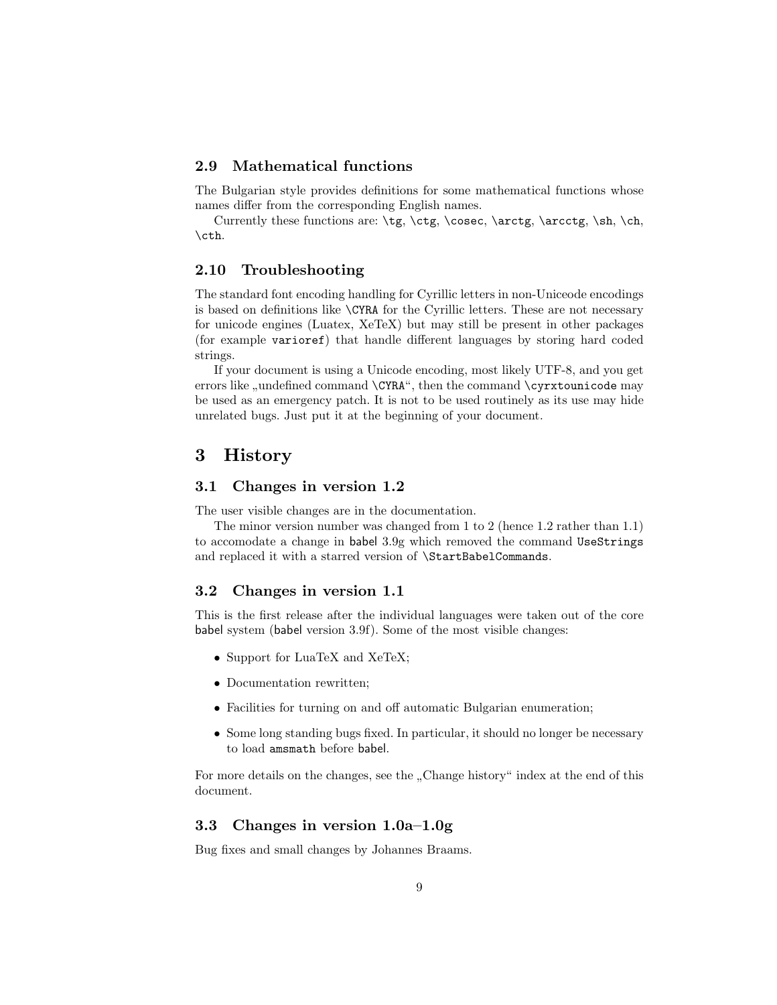#### **2.9 Mathematical functions**

The Bulgarian style provides definitions for some mathematical functions whose names differ from the corresponding English names.

Currently these functions are: \tg, \ctg, \cosec, \arctg, \arcctg, \sh, \ch, \cth.

#### **2.10 Troubleshooting**

The standard font encoding handling for Cyrillic letters in non-Uniceode encodings is based on definitions like \CYRA for the Cyrillic letters. These are not necessary for unicode engines (Luatex, XeTeX) but may still be present in other packages (for example varioref) that handle different languages by storing hard coded strings.

If your document is using a Unicode encoding, most likely UTF-8, and you get errors like "undefined command  $\C{YRA}$ ", then the command  $\cyrxtounicode$  may be used as  $\cdots$ be used as an emergency patch. It is not to be used routinely as its use may hide unrelated bugs. Just put it at the beginning of your document.

### **3 History**

#### **3.1 Changes in version 1.2**

The user visible changes are in the documentation.

The minor version number was changed from 1 to 2 (hence 1.2 rather than 1.1) to accomodate a change in babel 3.9g which removed the command UseStrings and replaced it with a starred version of \StartBabelCommands.

#### **3.2 Changes in version 1.1**

This is the first release after the individual languages were taken out of the core babel system (babel version 3.9f). Some of the most visible changes:

- Support for LuaTeX and XeTeX;
- Documentation rewritten;
- Facilities for turning on and off automatic Bulgarian enumeration;
- Some long standing bugs fixed. In particular, it should no longer be necessary to load amsmath before babel.

For more details on the changes, see the "Change history" index at the end of this document.

#### **3.3 Changes in version 1.0a–1.0g**

Bug fixes and small changes by Johannes Braams.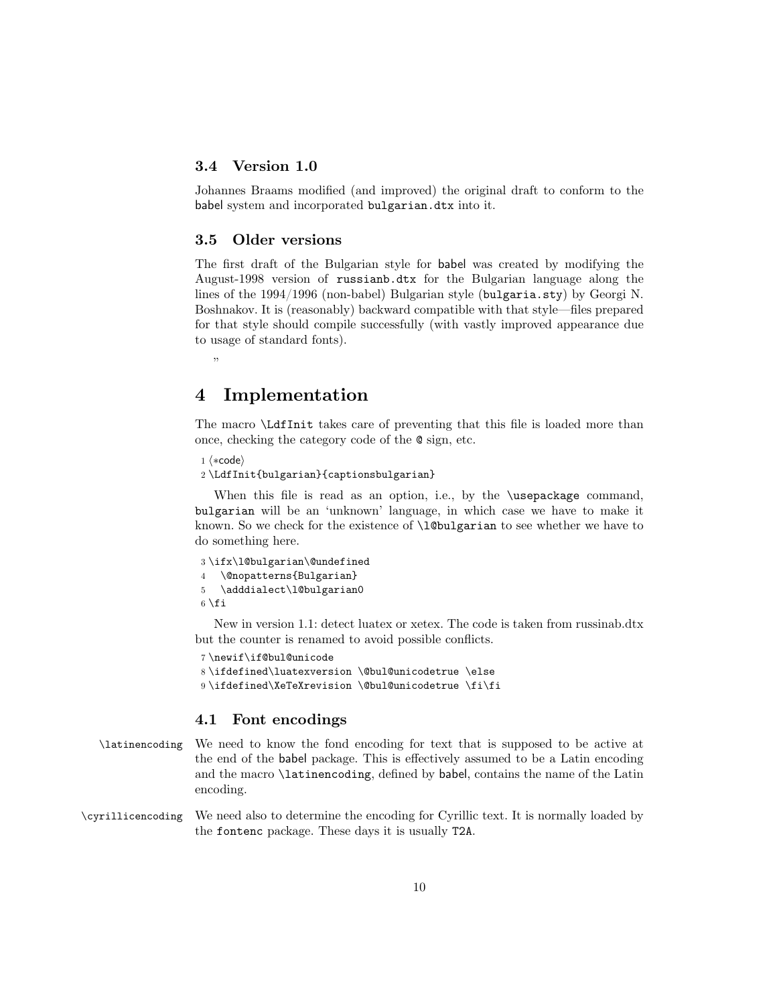#### **3.4 Version 1.0**

Johannes Braams modified (and improved) the original draft to conform to the babel system and incorporated bulgarian.dtx into it.

#### **3.5 Older versions**

The first draft of the Bulgarian style for babel was created by modifying the August-1998 version of russianb.dtx for the Bulgarian language along the lines of the 1994/1996 (non-babel) Bulgarian style (bulgaria.sty) by Georgi N. Boshnakov. It is (reasonably) backward compatible with that style—files prepared for that style should compile successfully (with vastly improved appearance due to usage of standard fonts).

,,

### **4 Implementation**

The macro \LdfInit takes care of preventing that this file is loaded more than once, checking the category code of the @ sign, etc.

```
1 \langle *code \rangle
```
2 \LdfInit{bulgarian}{captionsbulgarian}

When this file is read as an option, i.e., by the **\usepackage** command, bulgarian will be an 'unknown' language, in which case we have to make it known. So we check for the existence of **\l@bulgarian** to see whether we have to do something here.

```
3 \ifx\l@bulgarian\@undefined
4 \@nopatterns{Bulgarian}
5 \adddialect\l@bulgarian0
6 \setminus fi
```
New in version 1.1: detect luatex or xetex. The code is taken from russinab.dtx but the counter is renamed to avoid possible conflicts.

```
7 \newif\if@bul@unicode
8 \ifdefined\luatexversion \@bul@unicodetrue \else
9 \ifdefined\XeTeXrevision \@bul@unicodetrue \fi\fi
```
#### **4.1 Font encodings**

```
\latinencoding We need to know the fond encoding for text that is supposed to be active at
                the end of the babel package. This is effectively assumed to be a Latin encoding
                and the macro \latinencoding, defined by babel, contains the name of the Latin
                encoding.
```
\cyrillicencoding We need also to determine the encoding for Cyrillic text. It is normally loaded by the fontenc package. These days it is usually T2A.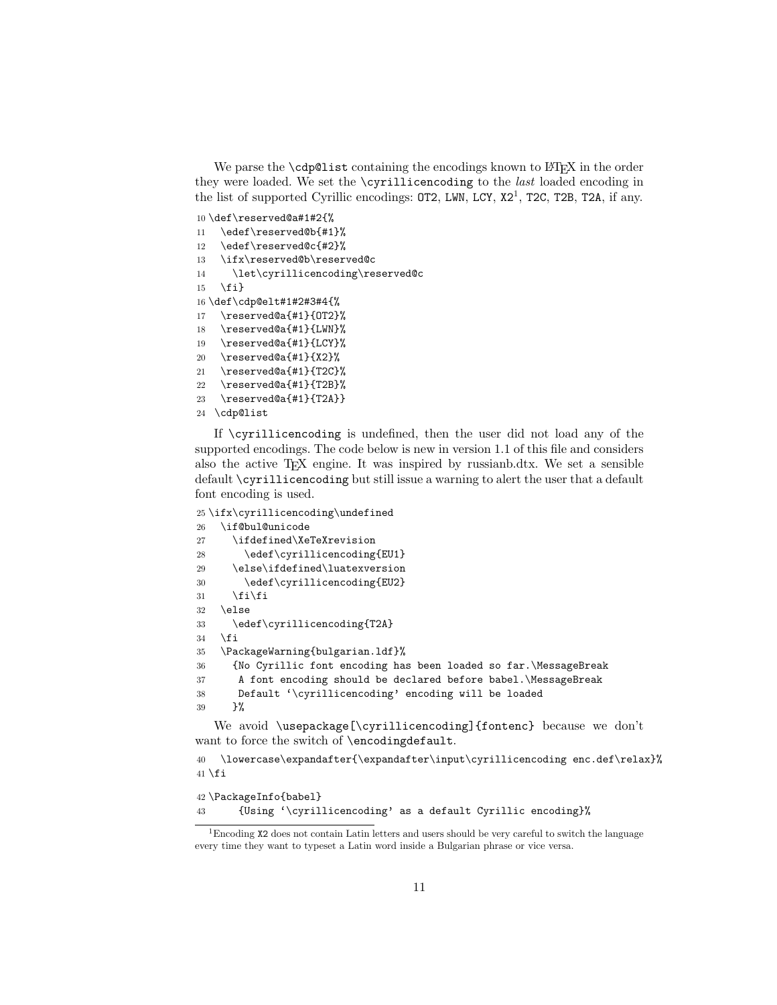We parse the  $\cosh$  value to the encodings known to  $\text{MEX}$  in the order they were loaded. We set the \cyrillicencoding to the *last* loaded encoding in the list of supported Cyrillic encodings:  $OT2$ , LWN, LCY,  $X2<sup>1</sup>$ , T2C, T2B, T2A, if any.

\def\reserved@a#1#2{%

\edef\reserved@b{#1}%

\edef\reserved@c{#2}%

\ifx\reserved@b\reserved@c

\let\cyrillicencoding\reserved@c

```
15 \fi}
```
\def\cdp@elt#1#2#3#4{%

- \reserved@a{#1}{OT2}%
- \reserved@a{#1}{LWN}%
- \reserved@a{#1}{LCY}%
- \reserved@a{#1}{X2}%
- \reserved@a{#1}{T2C}%
- \reserved@a{#1}{T2B}%
- \reserved@a{#1}{T2A}}
- \cdp@list

If \cyrillicencoding is undefined, then the user did not load any of the supported encodings. The code below is new in version 1.1 of this file and considers also the active TEX engine. It was inspired by russianb.dtx. We set a sensible default \cyrillicencoding but still issue a warning to alert the user that a default font encoding is used.

```
25 \ifx\cyrillicencoding\undefined
26 \if@bul@unicode
27 \ifdefined\XeTeXrevision
28 \edef\cyrillicencoding{EU1}
29 \else\ifdefined\luatexversion
30 \edef\cyrillicencoding{EU2}
31 \fi\fi
32 \else
33 \edef\cyrillicencoding{T2A}
34 \fi
35 \PackageWarning{bulgarian.ldf}%
36 {No Cyrillic font encoding has been loaded so far.\MessageBreak
37 A font encoding should be declared before babel.\MessageBreak
38 Default '\cyrillicencoding' encoding will be loaded
39 }%
```
We avoid \usepackage[\cyrillicencoding]{fontenc} because we don't want to force the switch of \encodingdefault.

```
40 \lowercase\expandafter{\expandafter\input\cyrillicencoding enc.def\relax}%
41 \setminus fi
```

```
42 \PackageInfo{babel}
43 {Using '\cyrillicencoding' as a default Cyrillic encoding}%
```
Encoding X2 does not contain Latin letters and users should be very careful to switch the language every time they want to typeset a Latin word inside a Bulgarian phrase or vice versa.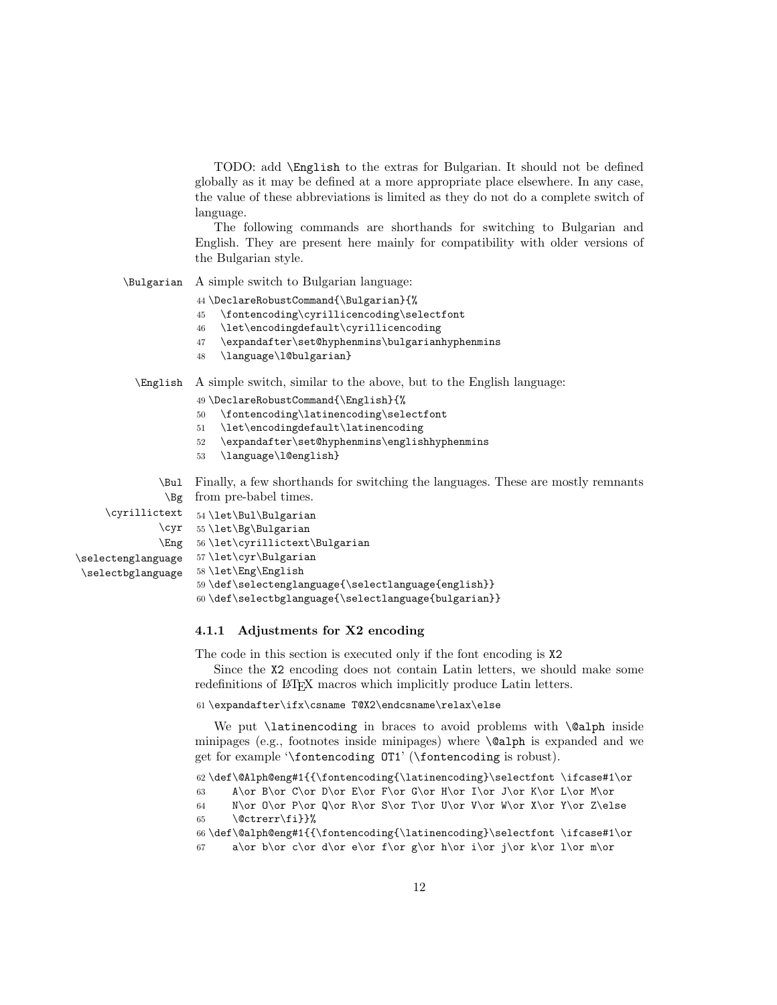TODO: add \English to the extras for Bulgarian. It should not be defined globally as it may be defined at a more appropriate place elsewhere. In any case, the value of these abbreviations is limited as they do not do a complete switch of language.

The following commands are shorthands for switching to Bulgarian and English. They are present here mainly for compatibility with older versions of the Bulgarian style.

\Bulgarian A simple switch to Bulgarian language:

44 \DeclareRobustCommand{\Bulgarian}{%

- 45 \fontencoding\cyrillicencoding\selectfont
- 46 \let\encodingdefault\cyrillicencoding
- 47 \expandafter\set@hyphenmins\bulgarianhyphenmins
- 48 \language\l@bulgarian}

\English A simple switch, similar to the above, but to the English language:

- 49 \DeclareRobustCommand{\English}{%
- 50 \fontencoding\latinencoding\selectfont
- 51 \let\encodingdefault\latinencoding
- 52 \expandafter\set@hyphenmins\englishhyphenmins
- 53 \language\l@english}

55 \let\Bg\Bulgarian

\Bul Finally, a few shorthands for switching the languages. These are mostly remnants \Bg from pre-babel times.

\cyrillictext 54\let\Bul\Bulgarian \cyr

```
\Eng
56 \let\cyrillictext\Bulgarian
\selectenglanguage
                    57 \let\cyr\Bulgarian
```

```
\selectbglanguage
                   58 \let\Eng\English
```
59 \def\selectenglanguage{\selectlanguage{english}}

```
60 \def\selectbglanguage{\selectlanguage{bulgarian}}
```
#### **4.1.1 Adjustments for X2 encoding**

The code in this section is executed only if the font encoding is X2

Since the X2 encoding does not contain Latin letters, we should make some redefinitions of LAT<sub>E</sub>X macros which implicitly produce Latin letters.

61 \expandafter\ifx\csname T@X2\endcsname\relax\else

We put *\latinencoding* in braces to avoid problems with *\@alph* inside minipages (e.g., footnotes inside minipages) where  $\Diamond$  alph is expanded and we get for example '\fontencoding OT1' (\fontencoding is robust).

```
62 \def\@Alph@eng#1{{\fontencoding{\latinencoding}\selectfont \ifcase#1\or
63 A\or B\or C\or D\or E\or F\or G\or H\or I\or J\or K\or L\or M\or
64 N\or O\or P\or Q\or R\or S\or T\or U\or V\or W\or X\or Y\or Z\else
```
65 \@ctrerr\fi}}%

```
66 \def\@alph@eng#1{{\fontencoding{\latinencoding}\selectfont \ifcase#1\or
```

```
67 a\or b\or c\or d\or e\or f\or g\or h\or i\or j\or k\or 1\or m\or
```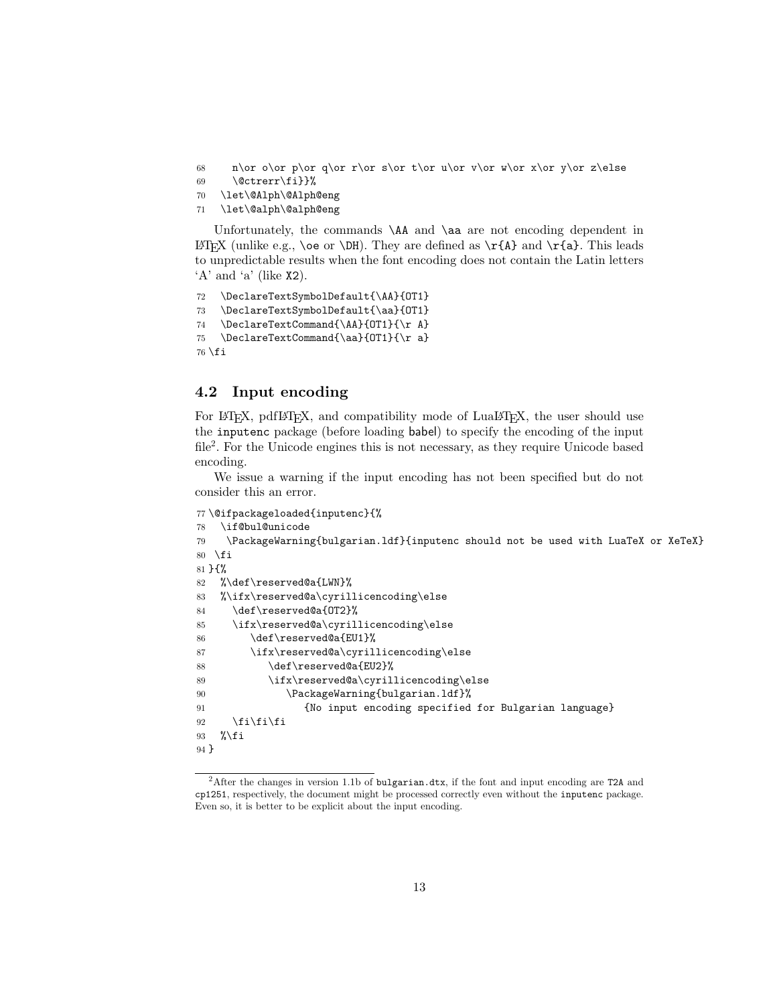- 68 n\or o\or p\or q\or r\or s\or t\or u\or v\or w\or x\or y\or z\else
- 69 \@ctrerr\fi}}%
- 70 \let\@Alph\@Alph@eng
- 71 \let\@alph\@alph@eng

Unfortunately, the commands  $\mathbf{A}$  and  $\mathbf{A}$  are not encoding dependent in LATEX (unlike e.g.,  $\oe$  or  $DH)$ . They are defined as  $\r{A}$  and  $\r{a}$ . This leads to unpredictable results when the font encoding does not contain the Latin letters  $'A'$  and  $'a'$  (like  $X2$ ).

```
72 \DeclareTextSymbolDefault{\AA}{OT1}
73 \DeclareTextSymbolDefault{\aa}{OT1}
74 \DeclareTextCommand{\AA}{OT1}{\r A}
75 \DeclareTextCommand{\aa}{OT1}{\r a}
76 \fi
```
#### **4.2 Input encoding**

For LAT<sub>EX</sub>, pdfLAT<sub>EX</sub>, and compatibility mode of LuaLAT<sub>EX</sub>, the user should use the inputenc package (before loading babel) to specify the encoding of the input file<sup>2</sup>. For the Unicode engines this is not necessary, as they require Unicode based encoding.

We issue a warning if the input encoding has not been specified but do not consider this an error.

```
77 \@ifpackageloaded{inputenc}{%
78 \if@bul@unicode
79 \PackageWarning{bulgarian.ldf}{inputenc should not be used with LuaTeX or XeTeX}
80 \overline{f}81 }{%
82 %\def\reserved@a{LWN}%
83 %\ifx\reserved@a\cyrillicencoding\else
84 \def\reserved@a{OT2}%
85 \ifx\reserved@a\cyrillicencoding\else
86 \def\reserved@a{EU1}%
87 \ifx\reserved@a\cyrillicencoding\else
88 \def\reserved@a{EU2}%
89 \ifx\reserved@a\cyrillicencoding\else
90 \PackageWarning{bulgarian.ldf}%
91 {No input encoding specified for Bulgarian language}
92 \{f_i\}_{f \in \mathbb{Z}}93 \sqrt{k}i
94 }
```
<sup>&</sup>lt;sup>2</sup>After the changes in version 1.1b of bulgarian.dtx, if the font and input encoding are T2A and cp1251, respectively, the document might be processed correctly even without the inputenc package. Even so, it is better to be explicit about the input encoding.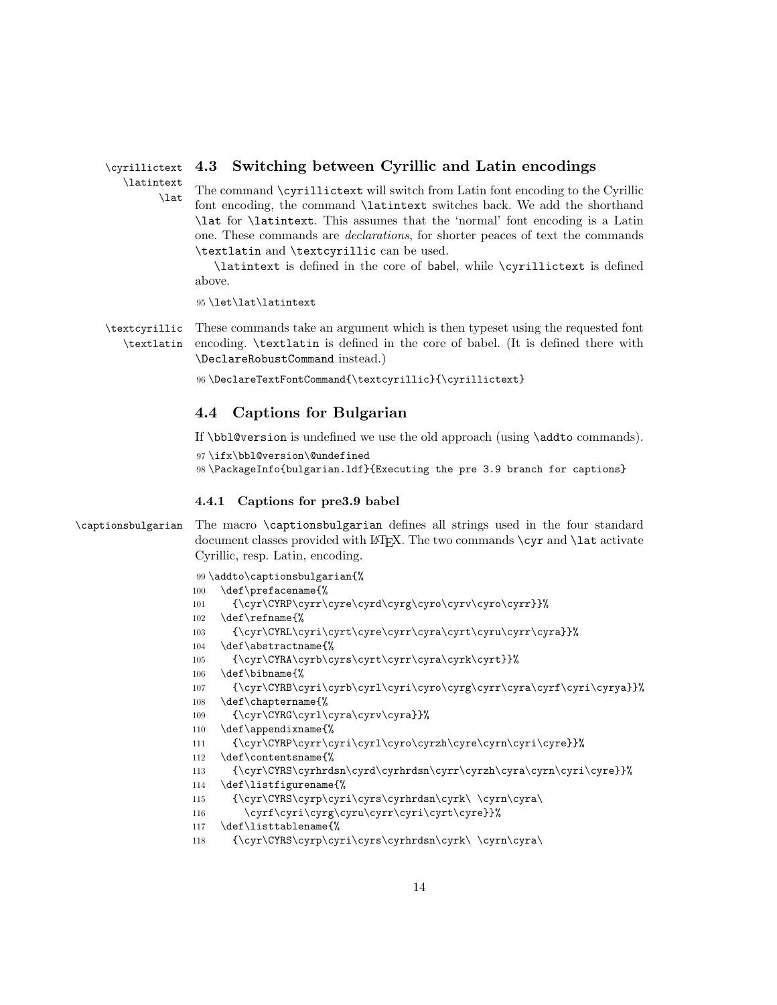#### \cyrillictext **4.3 Switching between Cyrillic and Latin encodings**

\latintext

\lat The command \cyrillictext will switch from Latin font encoding to the Cyrillic font encoding, the command \latintext switches back. We add the shorthand \lat for \latintext. This assumes that the 'normal' font encoding is a Latin one. These commands are *declarations*, for shorter peaces of text the commands \textlatin and \textcyrillic can be used.

\latintext is defined in the core of babel, while \cyrillictext is defined above.

95 \let\lat\latintext

\textcyrillic \textlatin These commands take an argument which is then typeset using the requested font encoding. \textlatin is defined in the core of babel. (It is defined there with \DeclareRobustCommand instead.)

96 \DeclareTextFontCommand{\textcyrillic}{\cyrillictext}

#### **4.4 Captions for Bulgarian**

If \bbl@version is undefined we use the old approach (using \addto commands).

97 \ifx\bbl@version\@undefined

98 \PackageInfo{bulgarian.ldf}{Executing the pre 3.9 branch for captions}

#### **4.4.1 Captions for pre3.9 babel**

\captionsbulgarian The macro \captionsbulgarian defines all strings used in the four standard document classes provided with  $\text{BTr}X$ . The two commands  $\c{yr}$  and  $\l{lat}$  activate Cyrillic, resp. Latin, encoding.

```
99 \addto\captionsbulgarian{%
100 \def\prefacename{%
101 {\cyr\CYRP\cyrr\cyre\cyrd\cyrg\cyro\cyrv\cyro\cyrr}}%
102 \def\refname{%
103 {\cyr\CYRL\cyri\cyrt\cyre\cyrr\cyra\cyrt\cyru\cyrr\cyra}}%
104 \def\abstractname{%
105 {\cyr\CYRA\cyrb\cyrs\cyrt\cyrr\cyra\cyrk\cyrt}}%
106 \def\bibname{%
107 {\cyr\CYRB\cyri\cyrb\cyrl\cyri\cyro\cyrg\cyrr\cyra\cyrf\cyri\cyrya}}%
108 \def\chaptername{%
109 {\cyr\CYRG\cyrl\cyra\cyrv\cyra}}%
110 \def\appendixname{%
111 {\cyr\CYRP\cyrr\cyri\cyrl\cyro\cyrzh\cyre\cyrn\cyri\cyre}}%
112 \def\contentsname{%
113 {\cyr\CYRS\cyrhrdsn\cyrd\cyrhrdsn\cyrr\cyrzh\cyra\cyrn\cyri\cyre}}%
114 \def\listfigurename{%
115 {\cyr\CYRS\cyrp\cyri\cyrs\cyrhrdsn\cyrk\ \cyrn\cyra\
116 \cyrf\cyri\cyrg\cyru\cyrr\cyri\cyrt\cyre}}%
117 \def\listtablename{%
118 {\cyr\CYRS\cyrp\cyri\cyrs\cyrhrdsn\cyrk\ \cyrn\cyra\
```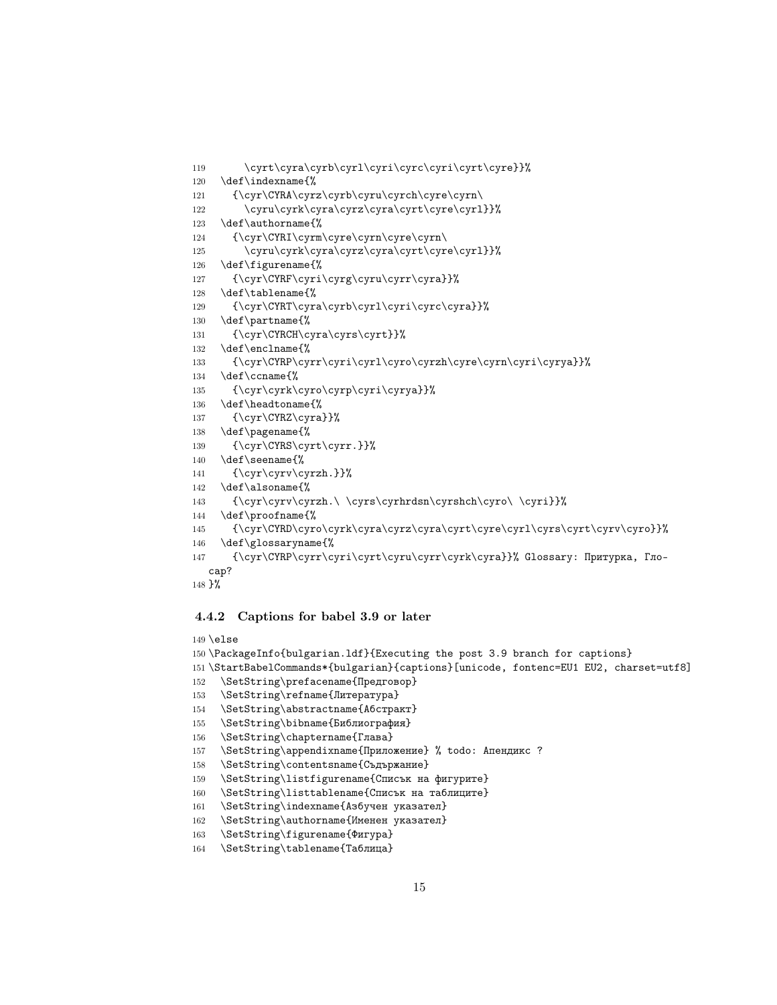```
119 \cyrt\cyra\cyrb\cyrl\cyri\cyrc\cyri\cyrt\cyre}}%
120 \def\indexname{%
121 {\cyr\CYRA\cyrz\cyrb\cyru\cyrch\cyre\cyrn\
122 \cyru\cyrk\cyra\cyrz\cyra\cyrt\cyre\cyr1}}%
123 \def\authorname{%
124 {\cyr\CYRI\cyrm\cyre\cyrn\cyre\cyrn\
125 \cyru\cyrk\cyra\cyrz\cyra\cyrt\cyre\cyrl}}%
126 \def\figurename{%
127 {\cyr\CYRF\cyri\cyrg\cyru\cyrr\cyra}}%
128 \def\tablename{%
129 {\cyr\CYRT\cyra\cyrb\cyrl\cyri\cyrc\cyra}}%
130 \def\partname{%
131 {\cyr\CYRCH\cyra\cyrs\cyrt}}%
132 \def\enclname{%
133 {\cyr\CYRP\cyrr\cyri\cyrl\cyro\cyrzh\cyre\cyrn\cyri\cyrya}}%
134 \def\ccname{%
135 {\cyr\cyrk\cyro\cyrp\cyri\cyrya}}%
136 \def\headtoname{%
137 {\cyr\CYRZ\cyra}}%
138 \def\pagename{%
139 {\cyr\CYRS\cyrt\cyrr.}}%
140 \def\seename{%
141 {\cyr\cyrv\cyrzh.}}%
142 \def\alsoname{%
143 {\cyr\cyrv\cyrzh.\ \cyrs\cyrhrdsn\cyrshch\cyro\ \cyri}}%
144 \def\proofname{%
145 {\cyr\CYRD\cyro\cyrk\cyra\cyrz\cyra\cyrt\cyre\cyrl\cyrs\cyrt\cyrv\cyro}}%
146 \def\glossaryname{%
147 {\cyr\CYRP\cyrr\cyri\cyrt\cyru\cyrr\cyrk\cyra}}% Glossary: Притурка, Гло-
  сар?
```

```
148 }%
```
#### **4.4.2 Captions for babel 3.9 or later**

```
149 \else
150 \PackageInfo{bulgarian.ldf}{Executing the post 3.9 branch for captions}
151 \StartBabelCommands*{bulgarian}{captions}[unicode, fontenc=EU1 EU2, charset=utf8]
152 \SetString\prefacename{Предговор}
153 \SetString\refname{Литература}
154 \SetString\abstractname{Абстракт}
155 \SetString\bibname{Библиография}
156 \SetString\chaptername{Глава}
157 \SetString\appendixname{Приложение} % todo: Апендикс ?
158 \SetString\contentsname{Съдържание}
159 \SetString\listfigurename{Списък на фигурите}
160 \SetString\listtablename{Списък на таблиците}
161 \SetString\indexname{Азбучен указател}
162 \SetString\authorname{Именен указател}
```

```
163 \SetString\figurename{Фигура}
```

```
164 \SetString\tablename{Таблица}
```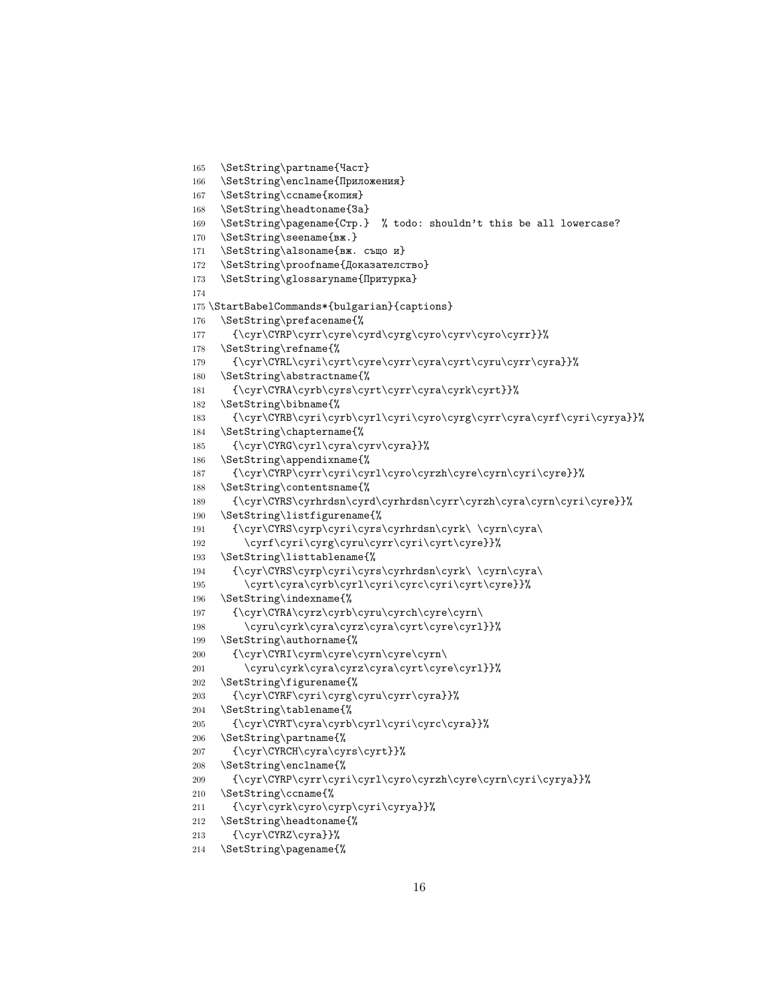```
165 \SetString\partname{Част}
166 \SetString\enclname{Приложения}
167 \SetString\ccname{копия}
168 \SetString\headtoname{3a}
169 \SetString\pagename{Crp.} % todo: shouldn't this be all lowercase?
170 \SetString\seename{вж.}
171 \SetString\alsoname{вж. също и}
172 \SetString\proofname{Доказателство}
173 \SetString\glossaryname{Притурка}
174
175 \StartBabelCommands*{bulgarian}{captions}
176 \SetString\prefacename{%
177 {\cyr\CYRP\cyrr\cyre\cyrd\cyrg\cyro\cyrv\cyro\cyrr}}%
178 \SetString\refname{%
179 {\cyr\CYRL\cyri\cyrt\cyre\cyrr\cyra\cyrt\cyru\cyrr\cyra}}%
180 \SetString\abstractname{%
181 {\cyr\CYRA\cyrb\cyrs\cyrt\cyrr\cyra\cyrk\cyrt}}%
182 \SetString\bibname{%
183 {\cyr\CYRB\cyri\cyrb\cyrl\cyri\cyro\cyrg\cyrr\cyra\cyrf\cyri\cyrya}}%
184 \SetString\chaptername{%
185 {\cyr\CYRG\cyrl\cyra\cyrv\cyra}}%
186 \SetString\appendixname{%
187 {\cyr\CYRP\cyrr\cyri\cyrl\cyro\cyrzh\cyre\cyrn\cyri\cyre}}%
188 \SetString\contentsname{%
189 {\cyr\CYRS\cyrhrdsn\cyrd\cyrhrdsn\cyrr\cyrzh\cyra\cyrn\cyri\cyre}}%
190 \SetString\listfigurename{%
191 {\cyr\CYRS\cyrp\cyri\cyrs\cyrhrdsn\cyrk\ \cyrn\cyra\
192 \cyrf\cyri\cyrg\cyru\cyrr\cyri\cyrt\cyre}}%
193 \SetString\listtablename{%
194 {\cyr\CYRS\cyrp\cyri\cyrs\cyrhrdsn\cyrk\ \cyrn\cyra\
195 \cyrt\cyra\cyrb\cyrl\cyri\cyrc\cyri\cyrt\cyre}}%
196 \SetString\indexname{%
197 {\cyr\CYRA\cyrz\cyrb\cyru\cyrch\cyre\cyrn\
198 \cyru\cyrk\cyra\cyrz\cyra\cyrt\cyre\cyrl}}%
199 \SetString\authorname{%
200 {\cyr\CYRI\cyrm\cyre\cyrn\cyre\cyrn\
201 \cyru\cyrk\cyra\cyrz\cyra\cyrt\cyre\cyrl}}%
202 \SetString\figurename{%
203 {\cyr\CYRF\cyri\cyrg\cyru\cyrr\cyra}}%
204 \SetString\tablename{%
205 {\cyr\CYRT\cyra\cyrb\cyrl\cyri\cyrc\cyra}}%
206 \SetString\partname{%
207 {\cyr\CYRCH\cyra\cyrs\cyrt}}%
208 \SetString\enclname{%
209 \qquad \qquad \quad \  \  \{ \cyr\CYRP\cyrri\cyr1\cyro\cyrzh\cyre\cyrn\cyri\cyrya} \}''210 \SetString\ccname{%
211 {\cyr\cyrk\cyro\cyrp\cyri\cyrya}}%
212 \SetString\headtoname{%
213 \{\cyr\CTRZ\cyra\}\%214 \SetString\pagename{%
```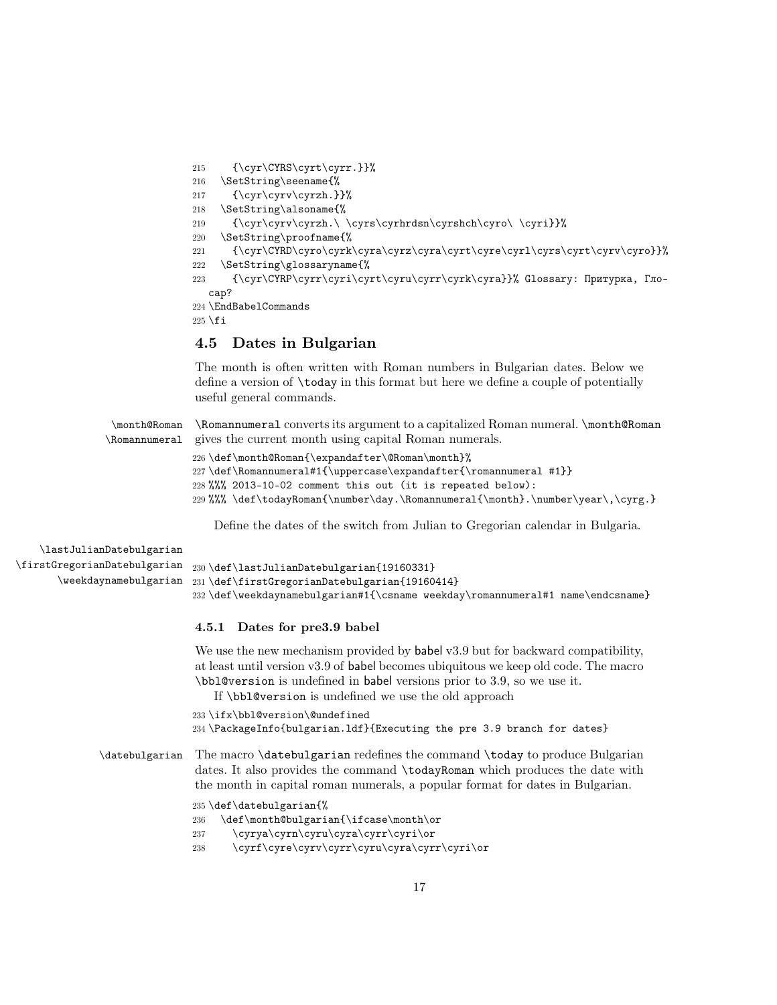{\cyr\CYRS\cyrt\cyrr.}}% \SetString\seename{% 217 {\cyr\cyrv\cyrzh.}}% \SetString\alsoname{% {\cyr\cyrv\cyrzh.\ \cyrs\cyrhrdsn\cyrshch\cyro\ \cyri}}% \SetString\proofname{% {\cyr\CYRD\cyro\cyrk\cyra\cyrz\cyra\cyrt\cyre\cyrl\cyrs\cyrt\cyrv\cyro}}% \SetString\glossaryname{% {\cyr\CYRP\cyrr\cyri\cyrt\cyru\cyrr\cyrk\cyra}}% Glossary: Притурка, Глосар? \EndBabelCommands  $225$  \fi

#### **4.5 Dates in Bulgarian**

The month is often written with Roman numbers in Bulgarian dates. Below we define a version of \today in this format but here we define a couple of potentially useful general commands.

\month@Roman \Romannumeral \Romannumeral converts its argument to a capitalized Roman numeral. \month@Roman gives the current month using capital Roman numerals.

```
226 \def\month@Roman{\expandafter\@Roman\month}%
227 \def\Romannumeral#1{\uppercase\expandafter{\romannumeral #1}}
228 %%% 2013-10-02 comment this out (it is repeated below):
229 %%% \def\todayRoman{\number\day.\Romannumeral{\month}.\number\year\,\cyrg.}
```
Define the dates of the switch from Julian to Gregorian calendar in Bulgaria.

| \lastJulianDatebulgarian |                                                                                |
|--------------------------|--------------------------------------------------------------------------------|
|                          | $\frac{GregorianDatebulgarian}{30\def\lastJulianDatebulgarian{19160331}}$      |
|                          | \weekdaynamebulgarian 231\def\firstGregorianDatebulgarian{19160414}            |
|                          | 232 \def\weekdaynamebulgarian#1{\csname weekday\romannumeral#1 name\endcsname} |

#### **4.5.1 Dates for pre3.9 babel**

We use the new mechanism provided by **babel** v3.9 but for backward compatibility, at least until version v3.9 of babel becomes ubiquitous we keep old code. The macro \bbl@version is undefined in babel versions prior to 3.9, so we use it.

If \bbl@version is undefined we use the old approach

```
233 \ifx\bbl@version\@undefined
```

```
234 \PackageInfo{bulgarian.ldf}{Executing the pre 3.9 branch for dates}
```
\datebulgarian The macro \datebulgarian redefines the command \today to produce Bulgarian dates. It also provides the command \todayRoman which produces the date with the month in capital roman numerals, a popular format for dates in Bulgarian.

```
235 \def\datebulgarian{%
```

```
236 \def\month@bulgarian{\ifcase\month\or
```
- 237 \cyrya\cyrn\cyru\cyra\cyrr\cyri\or
- 238 \cyrf\cyre\cyrv\cyrr\cyru\cyra\cyrr\cyri\or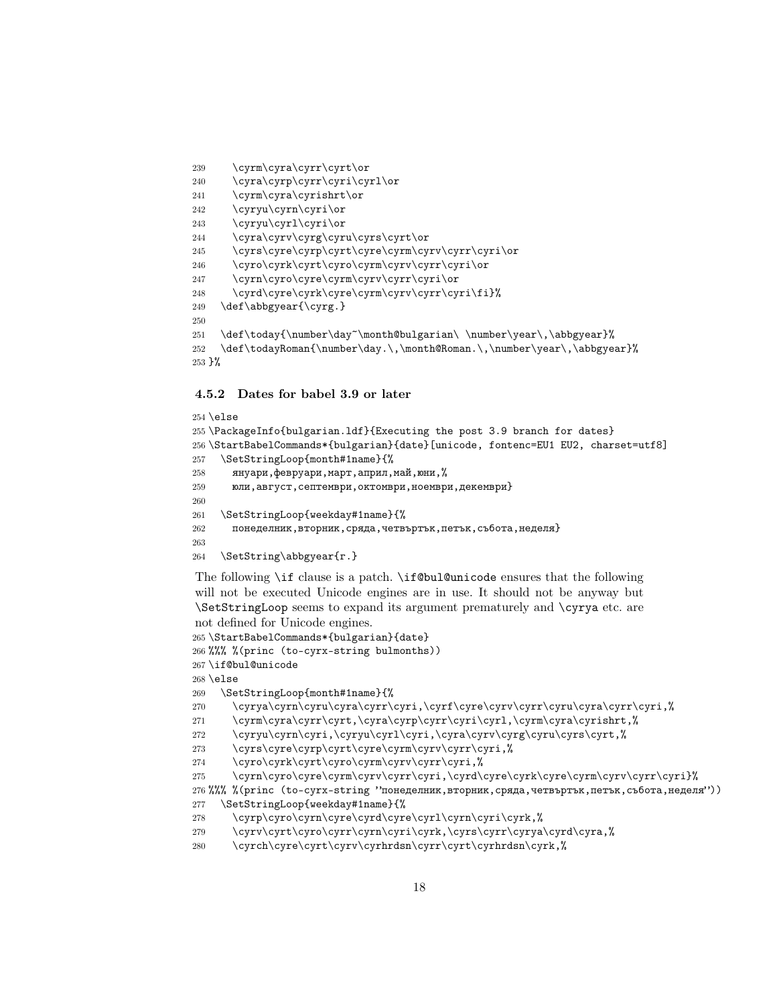```
239 \cyrm\cyra\cyrr\cyrt\or
240 \cyra\cyrp\cyrr\cyri\cyrl\or
241 \cyrm\cyra\cyrishrt\or
242 \cyryu\cyrn\cyri\or
243 \cyryu\cyrl\cyri\or
244 \cyra\cyrv\cyrg\cyru\cyrs\cyrt\or
245 \cyrs\cyre\cyrp\cyrt\cyre\cyrm\cyrv\cyrr\cyri\or
246 \cyro\cyrk\cyrt\cyro\cyrm\cyrv\cyrr\cyri\or
247 \cyrn\cyro\cyre\cyrm\cyrv\cyrr\cyri\or
248 \cyrd\cyre\cyrk\cyre\cyrm\cyrv\cyrr\cyri\fi}%
249 \def\abbgyear{\cyrg.}
250
251 \def\today{\number\day~\month@bulgarian\ \number\year\,\abbgyear}%
252 \def\todayRoman{\number\day.\,\month@Roman.\,\number\year\,\abbgyear}%
253 }%
```
#### **4.5.2 Dates for babel 3.9 or later**

```
254 \text{ }else
255 \PackageInfo{bulgarian.ldf}{Executing the post 3.9 branch for dates}
256 \StartBabelCommands*{bulgarian}{date}[unicode, fontenc=EU1 EU2, charset=utf8]
257 \SetStringLoop{month#1name}{%
258 януари, февруари, март, април, май, юни, \%259 юли,август,септември,октомври,ноември,декември}
260
261 \SetStringLoop{weekday#1name}{%
262 понеделник,вторник,сряда,четвъртък,петък,събота,неделя}
263
264 \SetString\abbgyear{г.}
```
The following \if clause is a patch. \if@bul@unicode ensures that the following will not be executed Unicode engines are in use. It should not be anyway but \SetStringLoop seems to expand its argument prematurely and \cyrya etc. are not defined for Unicode engines.

```
265 \StartBabelCommands*{bulgarian}{date}
266 %%% %(princ (to-cyrx-string bulmonths))
267 \if@bul@unicode
268 \else
269 \SetStringLoop{month#1name}{%
270 \cyrya\cyrn\cyru\cyra\cyrr\cyri,\cyrf\cyre\cyrv\cyrr\cyru\cyra\cyrr\cyri,%
271 \cyrm\cyra\cyrr\cyrt,\cyra\cyrp\cyrr\cyri\cyrl,\cyrm\cyra\cyrishrt,%
272 \cyryu\cyrn\cyri,\cyryu\cyrl\cyri,\cyra\cyrv\cyrg\cyru\cyrs\cyrt,%
273 \cyrs\cyre\cyrp\cyrt\cyre\cyrm\cyrv\cyrr\cyri,%
274 \cyro\cyrk\cyrt\cyro\cyrm\cyrv\cyrr\cyri,%
275 \cyrn\cyro\cyre\cyrm\cyrv\cyrr\cyri,\cyrd\cyre\cyrk\cyre\cyrm\cyrv\cyrr\cyri}%
276 %%% %(princ (to-cyrx-string "понеделник,вторник,сряда,четвъртък,петък,събота,неделя"))
277 \SetStringLoop{weekday#1name}{%
278 \cyrp\cyro\cyrn\cyre\cyrd\cyre\cyrl\cyrn\cyri\cyrk,%
279 \cyrv\cyrt\cyro\cyrr\cyrn\cyri\cyrk,\cyrs\cyrr\cyrya\cyrd\cyra,%
280 \cyrch\cyre\cyrt\cyrv\cyrhrdsn\cyrr\cyrt\cyrhrdsn\cyrk,%
```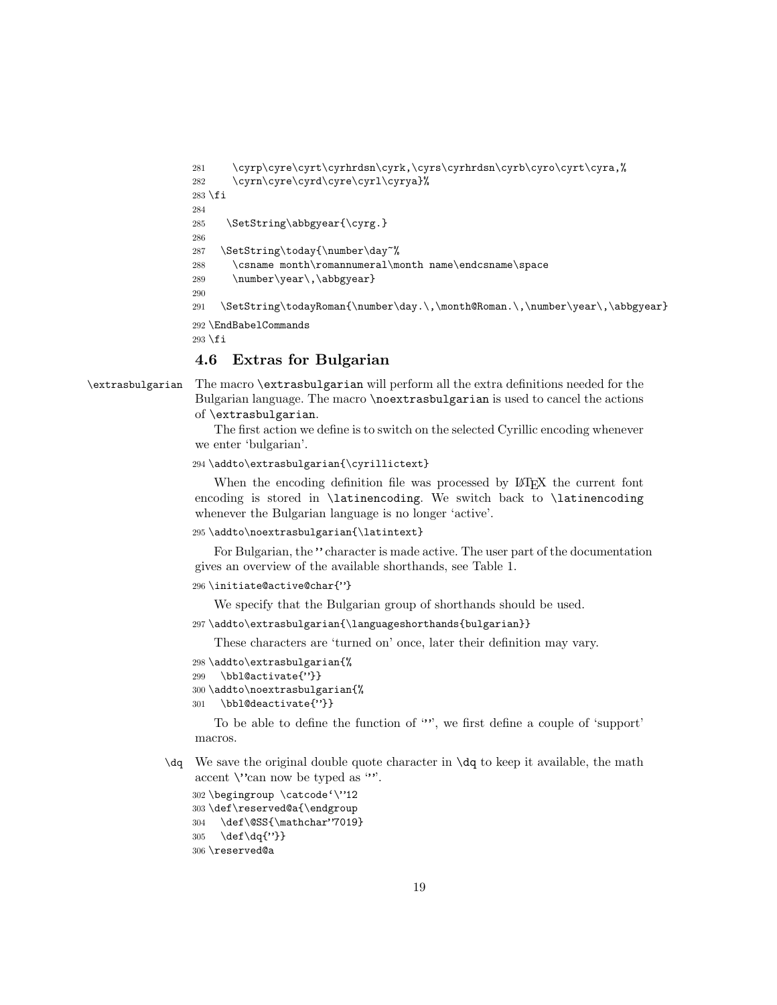```
281 \cyrp\cyre\cyrt\cyrhrdsn\cyrk,\cyrs\cyrhrdsn\cyrb\cyro\cyrt\cyra,%
282 \cyrn\cyre\cyrd\cyre\cyrl\cyrya}%
283 \fi
284
285 \SetString\abbgyear{\cyrg.}
286
287 \SetString\today{\number\day~%
288 \csname month\romannumeral\month name\endcsname\space
289 \number\year\,\abbgyear}
290
291 \SetString\todayRoman{\number\day.\,\month@Roman.\,\number\year\,\abbgyear}
292 \EndBabelCommands
293 \fi
```
#### **4.6 Extras for Bulgarian**

\extrasbulgarian The macro \extrasbulgarian will perform all the extra definitions needed for the Bulgarian language. The macro \noextrasbulgarian is used to cancel the actions of \extrasbulgarian.

> The first action we define is to switch on the selected Cyrillic encoding whenever we enter 'bulgarian'.

```
294 \addto\extrasbulgarian{\cyrillictext}
```
When the encoding definition file was processed by LAT<sub>E</sub>X the current font encoding is stored in \latinencoding. We switch back to \latinencoding whenever the Bulgarian language is no longer 'active'.

```
295 \addto\noextrasbulgarian{\latintext}
```
For Bulgarian, the " character is made active. The user part of the documentation gives an overview of the available shorthands, see Table 1.

```
296 \initiate@active@char{"}
```
We specify that the Bulgarian group of shorthands should be used.

```
297 \addto\extrasbulgarian{\languageshorthands{bulgarian}}
```
These characters are 'turned on' once, later their definition may vary.

```
298 \addto\extrasbulgarian{%
```
- 299 \bbl@activate{"}}
- 300 \addto\noextrasbulgarian{%
- 301 \bbl@deactivate{"}}

To be able to define the function of "", we first define a couple of 'support' macros.

 $\text{d}q$  We save the original double quote character in  $\text{d}q$  to keep it available, the math accent  $\vee$  can now be typed as "".

```
302 \begingroup \catcode'\"12
303 \def\reserved@a{\endgroup
304 \def\@SS{\mathchar"7019}
```
305 \def\dq{"}}

```
306 \reserved@a
```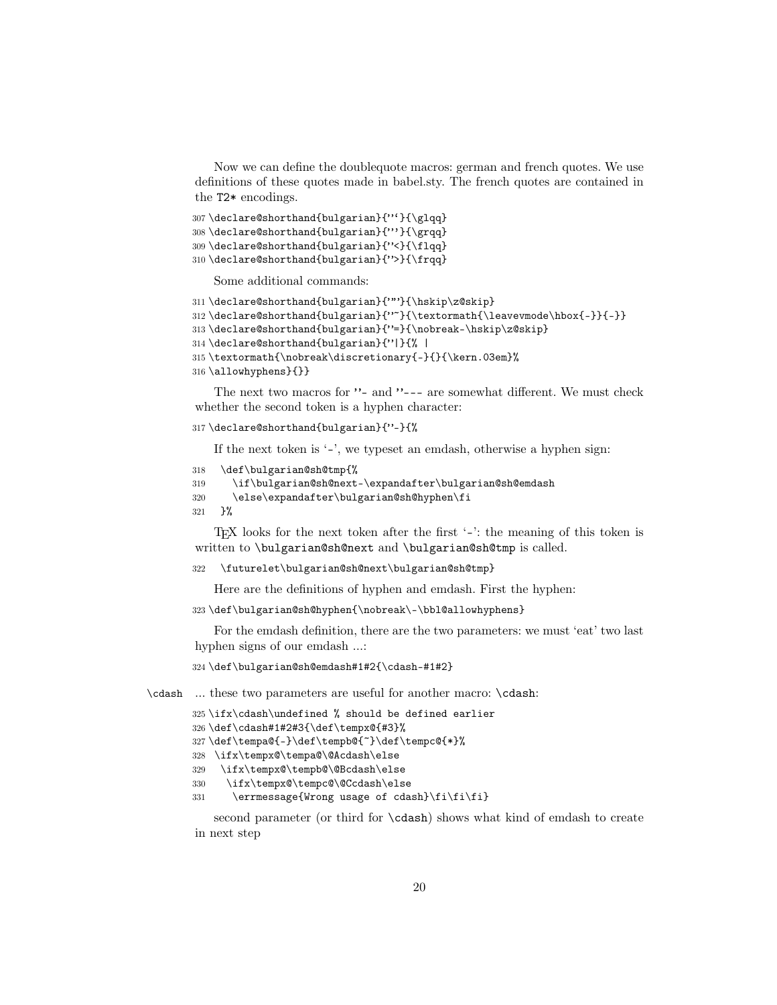Now we can define the doublequote macros: german and french quotes. We use definitions of these quotes made in babel.sty. The french quotes are contained in the T2\* encodings.

307\declare@shorthand{bulgarian}{"'}{\glqq} \declare@shorthand{bulgarian}{"'}{\grqq} \declare@shorthand{bulgarian}{"<}{\flqq} \declare@shorthand{bulgarian}{">}{\frqq}

Some additional commands:

```
311 \declare@shorthand{bulgarian}{""}{\hskip\z@skip}
312 \declare@shorthand{bulgarian}{"~}{\textormath{\leavevmode\hbox{-}}{-}}
313 \declare@shorthand{bulgarian}{"=}{\nobreak-\hskip\z@skip}
314 \declare@shorthand{bulgarian}{"|}{% |
315 \textormath{\nobreak\discretionary{-}{}{\kern.03em}%
316 \allowhyphens}{}}
```
The next two macros for "- and "--- are somewhat different. We must check whether the second token is a hyphen character:

317 \declare@shorthand{bulgarian}{"-}{%

If the next token is '-', we typeset an emdash, otherwise a hyphen sign:

```
318 \def\bulgarian@sh@tmp{%
```

```
319 \if\bulgarian@sh@next-\expandafter\bulgarian@sh@emdash
```

```
320 \else\expandafter\bulgarian@sh@hyphen\fi
```
 $321$   $\frac{1}{6}$ 

TEX looks for the next token after the first '-': the meaning of this token is written to \bulgarian@sh@next and \bulgarian@sh@tmp is called.

```
322 \futurelet\bulgarian@sh@next\bulgarian@sh@tmp}
```
Here are the definitions of hyphen and emdash. First the hyphen:

323 \def\bulgarian@sh@hyphen{\nobreak\-\bbl@allowhyphens}

For the emdash definition, there are the two parameters: we must 'eat' two last hyphen signs of our emdash …:

324 \def\bulgarian@sh@emdash#1#2{\cdash-#1#2}

\cdash … these two parameters are useful for another macro: \cdash:

```
325 \ifx\cdash\undefined % should be defined earlier
```

```
326 \def\cdash#1#2#3{\def\tempx@{#3}%
```

```
327 \def\tempa@{-}\def\tempb@{~}\def\tempc@{*}%
```
328 \ifx\tempx@\tempa@\@Acdash\else

```
329 \ifx\tempx@\tempb@\@Bcdash\else
```

```
330 \ifx\tempx@\tempc@\@Ccdash\else
```

```
331 \errmessage{Wrong usage of cdash}\fi\fi\fi}
```
second parameter (or third for \cdash) shows what kind of emdash to create in next step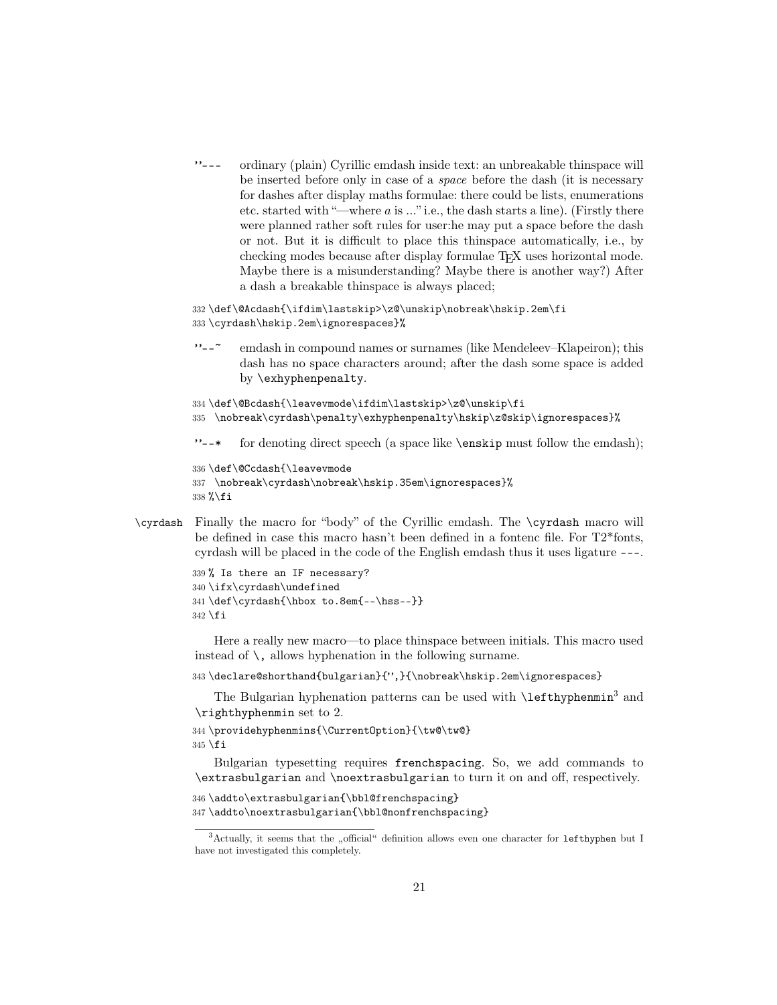"--- ordinary (plain) Cyrillic emdash inside text: an unbreakable thinspace will be inserted before only in case of a *space* before the dash (it is necessary for dashes after display maths formulae: there could be lists, enumerations etc. started with "—where  $a$  is  $\ldots$ " i.e., the dash starts a line). (Firstly there were planned rather soft rules for user:he may put a space before the dash or not. But it is difficult to place this thinspace automatically, i.e., by checking modes because after display formulae T<sub>E</sub>X uses horizontal mode. Maybe there is a misunderstanding? Maybe there is another way?) After a dash a breakable thinspace is always placed;

```
332 \def\@Acdash{\ifdim\lastskip>\z@\unskip\nobreak\hskip.2em\fi
333 \cyrdash\hskip.2em\ignorespaces}%
```
"--~ emdash in compound names or surnames (like Mendeleev–Klapeiron); this dash has no space characters around; after the dash some space is added by \exhyphenpenalty.

```
334 \def\@Bcdash{\leavevmode\ifdim\lastskip>\z@\unskip\fi
```
- 335 \nobreak\cyrdash\penalty\exhyphenpenalty\hskip\z@skip\ignorespaces}%
- "--\* for denoting direct speech (a space like \enskip must follow the emdash);

```
336 \def\@Ccdash{\leavevmode
337 \nobreak\cyrdash\nobreak\hskip.35em\ignorespaces}%
338 %\fi
```
\cyrdash Finally the macro for "body" of the Cyrillic emdash. The \cyrdash macro will be defined in case this macro hasn't been defined in a fontenc file. For T2\*fonts, cyrdash will be placed in the code of the English emdash thus it uses ligature ---.

```
339 % Is there an IF necessary?
340 \ifx\cyrdash\undefined
341 \def\cyrdash{\hbox to.8em{--\hss--}}
342 \fi
```
Here a really new macro—to place thinspace between initials. This macro used instead of  $\setminus$ , allows hyphenation in the following surname.

```
343 \declare@shorthand{bulgarian}{",}{\nobreak\hskip.2em\ignorespaces}
```
The Bulgarian hyphenation patterns can be used with **\lefthyphenmin**<sup>3</sup> and \righthyphenmin set to 2.

```
344 \providehyphenmins{\CurrentOption}{\tw@\tw@}
345 \fi
```
Bulgarian typesetting requires frenchspacing. So, we add commands to \extrasbulgarian and \noextrasbulgarian to turn it on and off, respectively.

```
346 \addto\extrasbulgarian{\bbl@frenchspacing}
347 \addto\noextrasbulgarian{\bbl@nonfrenchspacing}
```
 $3$ Actually, it seems that the "official" definition allows even one character for  $1$ efthyphen but I have not investigated this completely.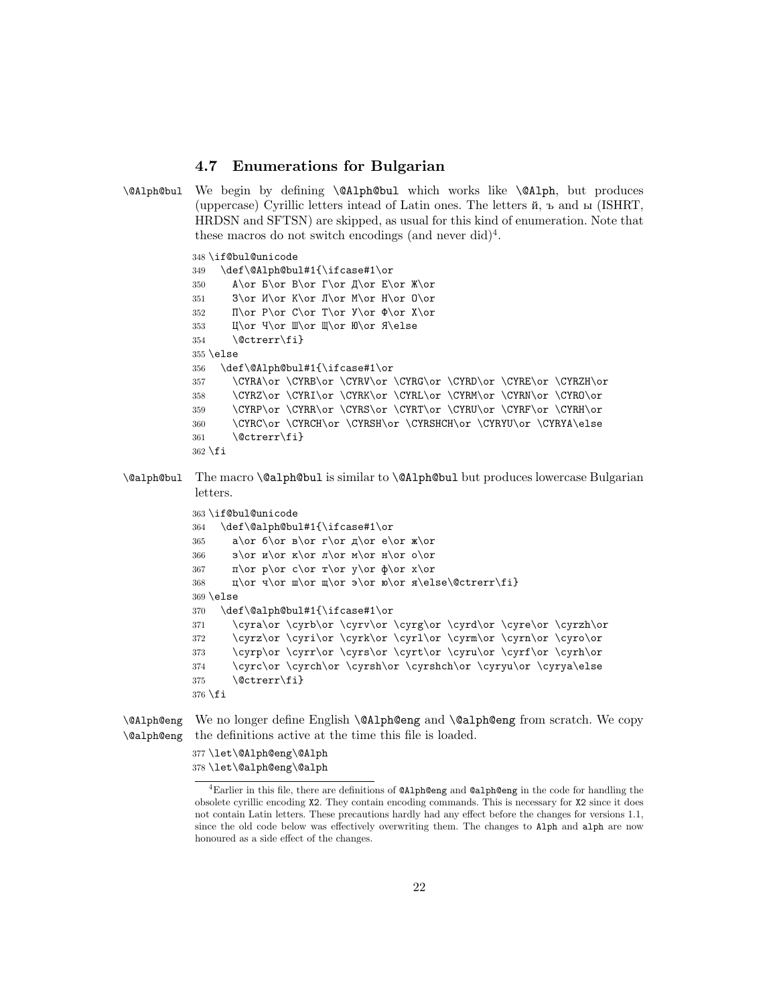#### **4.7 Enumerations for Bulgarian**

```
\@Alph@bul We begin by defining \@Alph@bul which works like \@Alph, but produces
            (uppercase) Cyrillic letters intead of Latin ones. The letters й, ъ and ы (ISHRT,
            HRDSN and SFTSN) are skipped, as usual for this kind of enumeration. Note that
             these macros do not switch encodings (and never did)<sup>4</sup>.
```

```
348 \if@bul@unicode
349 \def\@Alph@bul#1{\ifcase#1\or
350 А\or Б\or В\or Г\or Д\or Е\or Ж\or
351 3\or M\or K\or J\or M\or H\or O\or
352 \Pi\or P\or C\or T\or Y\or \Phi\or X\or353 Ц\or Ч\or Ш\or Щ\or Ю\or Я\else
354 \@ctrerr\fi}
355 \else
356 \def\@Alph@bul#1{\ifcase#1\or
357 \CYRA\or \CYRB\or \CYRV\or \CYRG\or \CYRD\or \CYRE\or \CYRZH\or
358 \CYRZ\or \CYRI\or \CYRK\or \CYRL\or \CYRM\or \CYRN\or \CYRO\or
359 \CYRP\or \CYRR\or \CYRS\or \CYRT\or \CYRU\or \CYRF\or \CYRH\or
360 \CYRC\or \CYRCH\or \CYRSH\or \CYRSHCH\or \CYRYU\or \CYRYA\else
361 \@ctrerr\fi}
362 \fi
```
\@alph@bul The macro \@alph@bul is similar to \@Alph@bul but produces lowercase Bulgarian letters.

```
363 \if@bul@unicode
364 \def\@alph@bul#1{\ifcase#1\or
365 a\or 6\or B\or r\or A\or e\or x\or366 з\or и\or к\or л\or м\or н\or о\or
367 – п\or p\or c\or r\or y\or \or x\or368 \text{u\or u\or u\or y\or s\or x\else\@ctrerr\fi1}369 \else
370 \def\@alph@bul#1{\ifcase#1\or
371 \cyra\or \cyrb\or \cyrv\or \cyrg\or \cyrd\or \cyre\or \cyrzh\or
372 \cyrz\or \cyri\or \cyrk\or \cyrl\or \cyrm\or \cyrn\or \cyro\or
373 \cyrp\or \cyrr\or \cyrs\or \cyrt\or \cyru\or \cyrf\or \cyrh\or
374 \cyrc\or \cyrch\or \cyrsh\or \cyrshch\or \cyryu\or \cyrya\else
375 \@ctrerr\fi}
376 \fi
```
\@Alph@eng \@alph@eng We no longer define English **\@Alph@eng** and **\@alph@eng** from scratch. We copy the definitions active at the time this file is loaded.

> 377 \let\@Alph@eng\@Alph 378 \let\@alph@eng\@alph

<sup>4</sup>Earlier in this file, there are definitions of @Alph@eng and @alph@eng in the code for handling the obsolete cyrillic encoding X2. They contain encoding commands. This is necessary for X2 since it does not contain Latin letters. These precautions hardly had any effect before the changes for versions 1.1, since the old code below was effectively overwriting them. The changes to Alph and alph are now honoured as a side effect of the changes.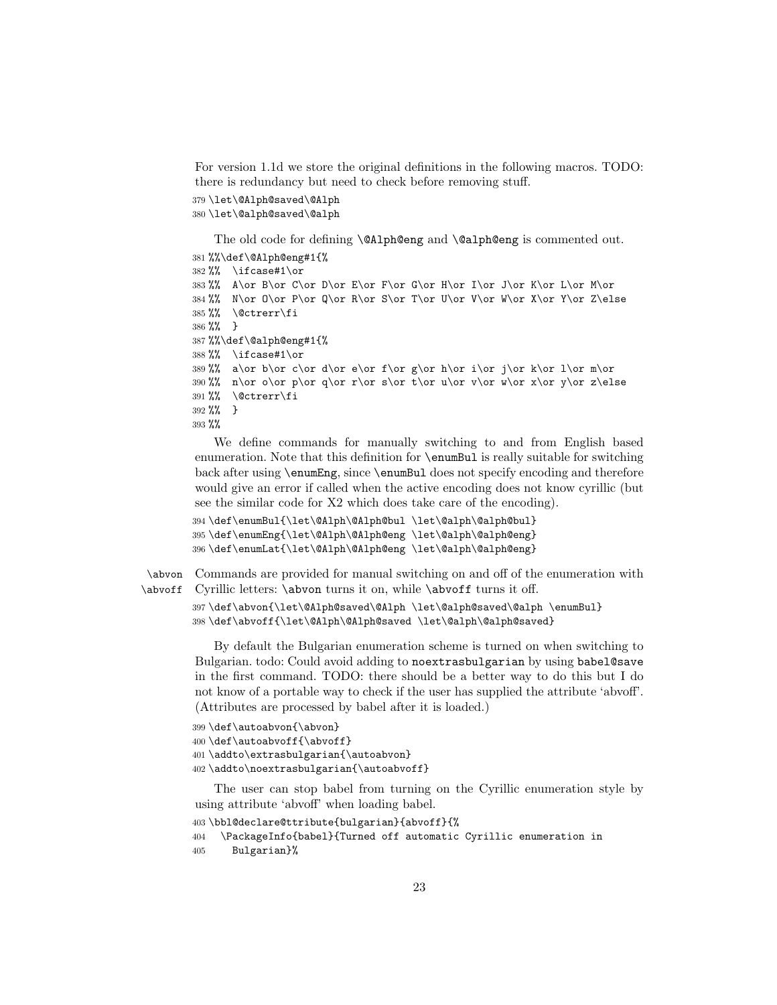For version 1.1d we store the original definitions in the following macros. TODO: there is redundancy but need to check before removing stuff.

```
379 \let\@Alph@saved\@Alph
```
380 \let\@alph@saved\@alph

The old code for defining \@Alph@eng and \@alph@eng is commented out.

```
381 %%\def\@Alph@eng#1{%
382 %% \ifcase#1\or
383 %% A\or B\or C\or D\or E\or F\or G\or H\or I\or J\or K\or L\or M\or
384 %% N\or O\or P\or Q\or R\or S\or T\or U\or V\or W\or X\or Y\or Z\else
385 %% \@ctrerr\fi
386 %% }
387 %%\def\@alph@eng#1{%
388 %% \ifcase#1\or
389 %% a\or b\or c\or d\or e\or f\or g\or h\or i\or j\or k\or l\or m\or
390 %% n\or o\or p\or q\or r\or s\or t\or u\or v\or w\or x\or y\or z\else
391 %% \@ctrerr\fi
392 %% }
393 %%
```
We define commands for manually switching to and from English based enumeration. Note that this definition for \enumBul is really suitable for switching back after using \enumEng, since \enumBul does not specify encoding and therefore would give an error if called when the active encoding does not know cyrillic (but see the similar code for X2 which does take care of the encoding).

```
394 \def\enumBul{\let\@Alph\@Alph@bul \let\@alph\@alph@bul}
395 \def\enumEng{\let\@Alph\@Alph@eng \let\@alph\@alph@eng}
396 \def\enumLat{\let\@Alph\@Alph@eng \let\@alph\@alph@eng}
```
\abvon Commands are provided for manual switching on and off of the enumeration with \abvoff Cyrillic letters: \abvon turns it on, while \abvoff turns it off.

```
397 \def\abvon{\let\@Alph@saved\@Alph \let\@alph@saved\@alph \enumBul}
398 \def\abvoff{\let\@Alph\@Alph@saved \let\@alph\@alph@saved}
```
By default the Bulgarian enumeration scheme is turned on when switching to Bulgarian. todo: Could avoid adding to noextrasbulgarian by using babel@save in the first command. TODO: there should be a better way to do this but I do not know of a portable way to check if the user has supplied the attribute 'abvoff'. (Attributes are processed by babel after it is loaded.)

```
399 \def\autoabvon{\abvon}
400 \def\autoabvoff{\abvoff}
401 \addto\extrasbulgarian{\autoabvon}
402 \addto\noextrasbulgarian{\autoabvoff}
```
The user can stop babel from turning on the Cyrillic enumeration style by using attribute 'abvoff' when loading babel.

```
403 \bbl@declare@ttribute{bulgarian}{abvoff}{%
404 \PackageInfo{babel}{Turned off automatic Cyrillic enumeration in
405 Bulgarian}%
```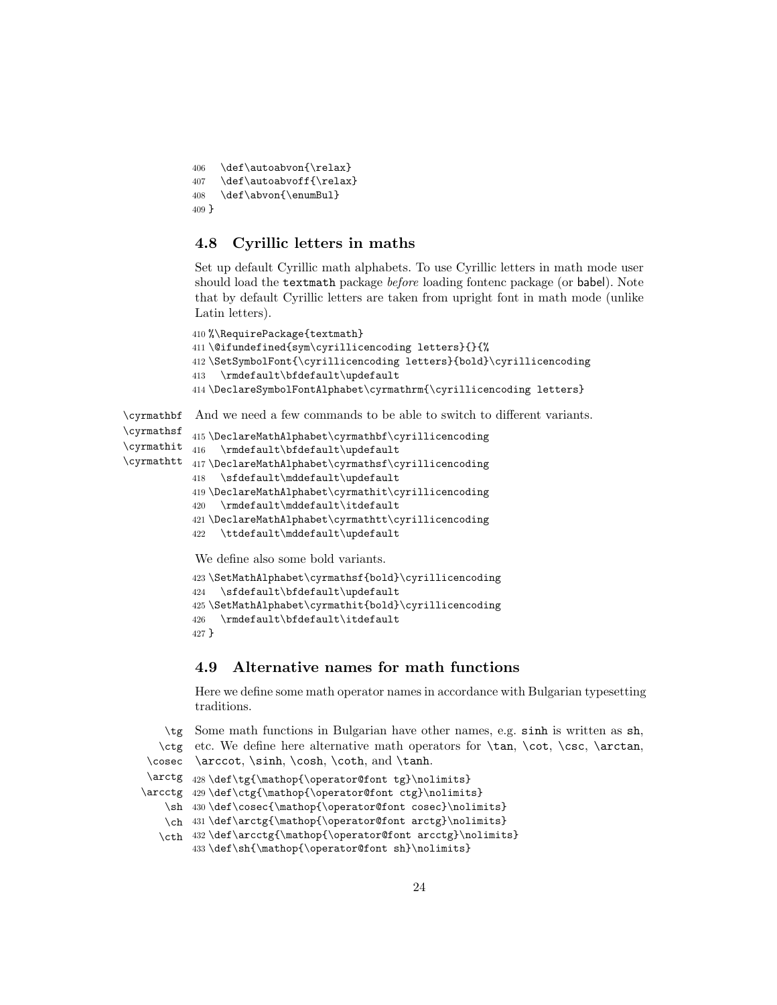```
406 \def\autoabvon{\relax}
407 \def\autoabvoff{\relax}
408 \def\abvon{\enumBul}
409 }
```
#### **4.8 Cyrillic letters in maths**

Set up default Cyrillic math alphabets. To use Cyrillic letters in math mode user should load the textmath package *before* loading fontenc package (or babel). Note that by default Cyrillic letters are taken from upright font in math mode (unlike Latin letters).

```
410 %\RequirePackage{textmath}
411 \@ifundefined{sym\cyrillicencoding letters}{}{%
412 \SetSymbolFont{\cyrillicencoding letters}{bold}\cyrillicencoding
413 \rmdefault\bfdefault\updefault
414 \DeclareSymbolFontAlphabet\cyrmathrm{\cyrillicencoding letters}
```
\cyrmathbf And we need a few commands to be able to switch to different variants.

```
\cyrmathsf
\cyrmathit _{416} \rmdefault\bfdefault\updefault
\cyrmathtt
417 \DeclareMathAlphabet\cyrmathsf\cyrillicencoding
           415 \DeclareMathAlphabet\cyrmathbf\cyrillicencoding
           418 \sfdefault\mddefault\updefault
           419 \DeclareMathAlphabet\cyrmathit\cyrillicencoding
           420 \rmdefault\mddefault\itdefault
           421 \DeclareMathAlphabet\cyrmathtt\cyrillicencoding
           422 \ttdefault\mddefault\updefault
            We define also some bold variants.
           423 \SetMathAlphabet\cyrmathsf{bold}\cyrillicencoding
           424 \sfdefault\bfdefault\updefault
```

```
425 \SetMathAlphabet\cyrmathit{bold}\cyrillicencoding
426 \rmdefault\bfdefault\itdefault
```

```
427 }
```
#### **4.9 Alternative names for math functions**

Here we define some math operator names in accordance with Bulgarian typesetting traditions.

```
\tg
Some math functions in Bulgarian have other names, e.g. sinh is written as sh,
   \ctg
etc. We define here alternative math operators for \tan, \cot, \csc, \arctan,
 \cosec
\arccot, \sinh, \cosh, \coth, and \tanh.
 \arctg 428\def\tg{\mathop{\operator@font tg}\nolimits}
\arcctg 429\def\ctg{\mathop{\operator@font ctg}\nolimits}
    \sh
430 \def\cosec{\mathop{\operator@font cosec}\nolimits}
    \ch
431 \def\arctg{\mathop{\operator@font arctg}\nolimits}
   \cth 432\def\arcctg{\mathop{\operator@font arcctg}\nolimits}
        433 \def\sh{\mathop{\operator@font sh}\nolimits}
```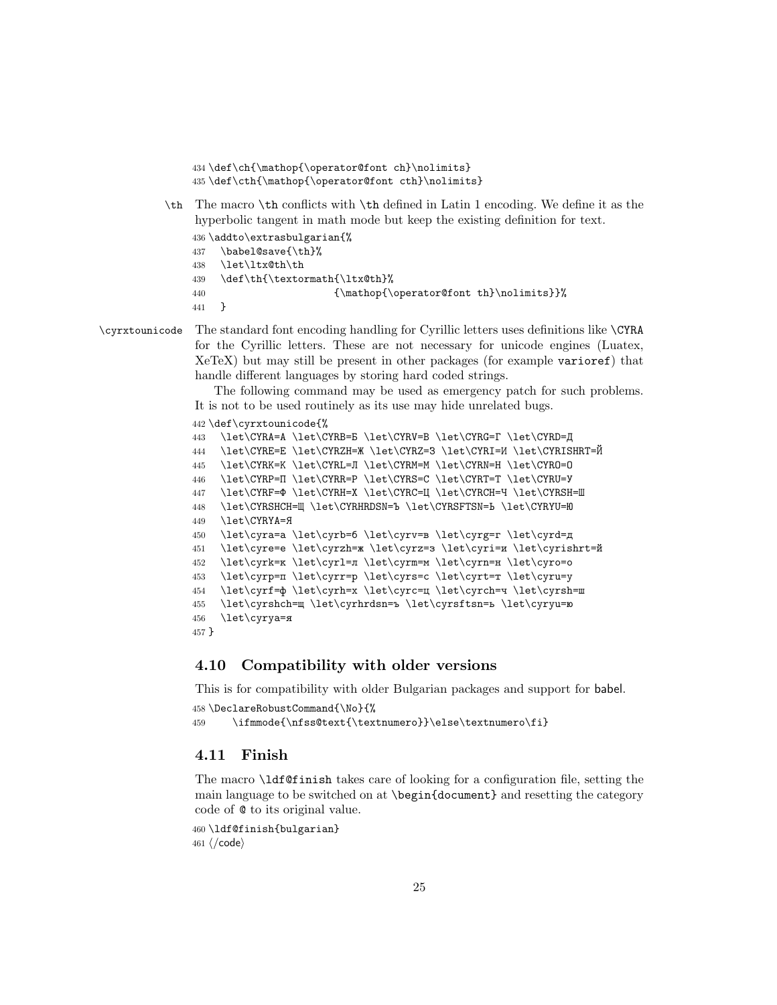```
434 \def\ch{\mathop{\operator@font ch}\nolimits}
435 \def\cth{\mathop{\operator@font cth}\nolimits}
```
\th The macro \th conflicts with \th defined in Latin 1 encoding. We define it as the hyperbolic tangent in math mode but keep the existing definition for text.

```
436 \addto\extrasbulgarian{%
437 \babel@save{\th}%
438 \let\ltx@th\th
439 \def\th{\textormath{\ltx@th}%
440 \{\mathbf{\operatorname{font th}\nolimits}\}441 }
```
\cyrxtounicode The standard font encoding handling for Cyrillic letters uses definitions like \CYRA for the Cyrillic letters. These are not necessary for unicode engines (Luatex, XeTeX) but may still be present in other packages (for example varioref) that handle different languages by storing hard coded strings.

> The following command may be used as emergency patch for such problems. It is not to be used routinely as its use may hide unrelated bugs.

```
442 \def\cyrxtounicode{%
```

```
443 \let\CYRA=А \let\CYRB=Б \let\CYRV=В \let\CYRG=Г \let\CYRD=Д
444 \let\CYRE=Е \let\CYRZH=Ж \let\CYRZ=З \let\CYRI=И \let\CYRISHRT=Й
445 \let\CYRK=К \let\CYRL=Л \let\CYRM=М \let\CYRN=Н \let\CYRO=О
446 \let\CYRP=П \let\CYRR=Р \let\CYRS=С \let\CYRT=Т \let\CYRU=У
447 \let\CYRF=Ф \let\CYRH=Х \let\CYRC=Ц \let\CYRCH=Ч \let\CYRSH=Ш
448 \let\CYRSHCH=Щ \let\CYRHRDSN=Ъ \let\CYRSFTSN=Ь \let\CYRYU=Ю
449 \let\CYRYA=Я
450 \let\cyra=а \let\cyrb=б \let\cyrv=в \let\cyrg=г \let\cyrd=д
451 \let\cyre=е \let\cyrzh=ж \let\cyrz=з \let\cyri=и \let\cyrishrt=й
452 \let\cyrk=к \let\cyrl=л \let\cyrm=м \let\cyrn=н \let\cyro=о
453 \let\cyrp=п \let\cyrr=р \let\cyrs=с \let\cyrt=т \let\cyru=у
454 \let\cyrf=ф \let\cyrh=х \let\cyrc=ц \let\cyrch=ч \let\cyrsh=ш
455 \let\cyrshch=щ \let\cyrhrdsn=ъ \let\cyrsftsn=ь \let\cyryu=ю
456 \let\cyrya=я
457 }
```
### **4.10 Compatibility with older versions**

This is for compatibility with older Bulgarian packages and support for babel. \DeclareRobustCommand{\No}{%

```
459 \ifmmode{\nfss@text{\textnumero}}\else\textnumero\fi}
```
#### **4.11 Finish**

The macro \ldf@finish takes care of looking for a configuration file, setting the main language to be switched on at \begin{document} and resetting the category code of @ to its original value.

```
460 \ldf@finish{bulgarian}
461 \; \langle \text{/code} \rangle
```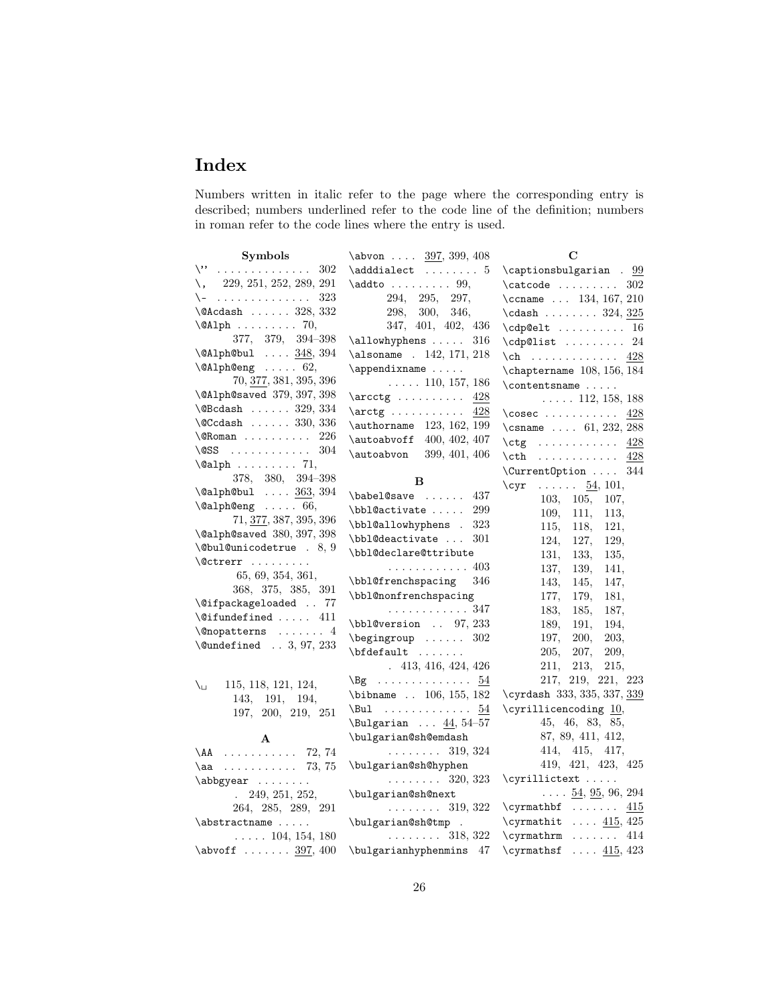## **Index**

Numbers written in italic refer to the page where the corresponding entry is described; numbers underlined refer to the code line of the definition; numbers in roman refer to the code lines where the entry is used.

| Symbols                               | $\lambda$ 0 $\frac{397}{399}$ , 408                                                                                                                                         | C                                     |
|---------------------------------------|-----------------------------------------------------------------------------------------------------------------------------------------------------------------------------|---------------------------------------|
| $\setminus$<br>302                    | $\adddialect$ 5                                                                                                                                                             | $\cap$ $\alpha$ . 99                  |
| $\lambda$ , 229, 251, 252, 289, 291   | $\addto \ldots \ldots 99,$                                                                                                                                                  | $\texttt{catcode} \dots \dots$<br>302 |
| \-<br>323                             | 294, 295, 297,                                                                                                                                                              | \ccname $134, 167, 210$               |
| $\lambda$ 9Acdash  328, 332           | 298,<br>300, 346,                                                                                                                                                           | $\cdots$ 324, $325$                   |
| $\Delta$ PAlph  70,                   | 347, 401, 402, 436                                                                                                                                                          | $\cdp$ elt  16                        |
| 377, 379, 394-398                     | 316                                                                                                                                                                         | $\cosh 3t \ldots 24$                  |
| $\Delta$ 941ph@bul $\ldots$ 348, 394  | \alsoname . 142, 171, 218                                                                                                                                                   | $\ch$ 428                             |
| $\Delta$ leng  62,                    | $\operatorname{Lappendixname}$                                                                                                                                              | $\Lambda$ 156, 184                    |
| 70, 377, 381, 395, 396                | $\ldots$ . 110, 157, 186                                                                                                                                                    | $\{\text{contentsname} \dots \}$      |
| \@Alph@saved 379, 397, 398            | $\arctg \ldots \ldots$<br>428                                                                                                                                               | $\ldots$ 112, 158, 188                |
| $\text{QBCdash } \ldots$ 329, 334     | $\arctg \ldots \ldots$<br>428                                                                                                                                               | $\cosec \dots \dots \dots$<br>428     |
| $\text{QCCdash} \dots$ 330, 336       | \authorname 123, 162, 199                                                                                                                                                   | \csname $ 61, 232, 288$               |
| $\Omega$ . $\Omega$                   | \autoabvoff 400, 402, 407                                                                                                                                                   | $\ctg$ 428                            |
| \CSS $304$                            | \autoabvon<br>399, 401, 406                                                                                                                                                 | $\text{Cth}$ 428                      |
| $\alpha$ lph  71,                     |                                                                                                                                                                             | \CurrentOption<br>344                 |
| 378, 380, 394-398                     | B                                                                                                                                                                           | $\c{yr}$<br>$\ldots \ldots 54, 101,$  |
| $\Delta$ lealph@bul $363, 394$        | $\bablel@save \ldots$<br>437                                                                                                                                                | 103,<br>105,<br>107,                  |
| $\lambda$ QalphQeng  66,              | \bbl@activate<br>299                                                                                                                                                        | 111,<br>109,<br>113,                  |
| $71, \underline{377}, 387, 395, 396$  | \bbl@allowhyphens .<br>323                                                                                                                                                  | 115,<br>118,<br>121,                  |
| \@alph@saved 380, 397, 398            | \bbl@deactivate<br>301                                                                                                                                                      | 124,<br>127,<br>129,                  |
| $\&$ bul@unicodetrue . 8, 9           | \bbl@declare@ttribute                                                                                                                                                       | 131,<br>133,<br>135,                  |
| $\setminus$ Octrerr                   | . 403                                                                                                                                                                       | 139,<br>137,<br>141,                  |
| 65, 69, 354, 361,                     | \bbl@frenchspacing<br>346                                                                                                                                                   | 143.<br>145,<br>147,                  |
| 368, 375, 385, 391                    | \bbl@nonfrenchspacing                                                                                                                                                       | 177,<br>179,<br>181,                  |
| \@ifpackageloaded  77                 | . 347                                                                                                                                                                       | 183,<br>185,<br>187,                  |
| $\text{Qifundefined} \dots \quad 411$ | \bbl@version  97, 233                                                                                                                                                       | 189,<br>191,<br>194,                  |
|                                       | $\begin{bmatrix} \begin{array}{ccc} \end{array} \\ \begin{array}{ccc} \end{array} \\ \begin{array}{ccc} \end{array} \\ \begin{array}{ccc} \end{array} \end{bmatrix}$<br>302 | 197,<br>200,<br>203,                  |
| $\text{Qundefined} \dots 3, 97, 233$  | $\boldsymbol{\theta}$                                                                                                                                                       | 205.<br>207,<br>209,                  |
|                                       | .413, 416, 424, 426                                                                                                                                                         | 211,<br>213,<br>215,                  |
| ∖⊔<br>115, 118, 121, 124,             | $\log$<br>54                                                                                                                                                                | 217, 219, 221, 223                    |
| 143, 191,<br>194,                     | $\blacksquare$ . 106, 155, 182                                                                                                                                              | \cyrdash 333, 335, 337, 339           |
| 197, 200, 219, 251                    |                                                                                                                                                                             | \cyrillicencoding $10$ ,              |
|                                       | \Bulgarian $\ldots$ 44, 54-57                                                                                                                                               | 45, 46, 83, 85,                       |
| A                                     | \bulgarian@sh@emdash                                                                                                                                                        | 87, 89, 411, 412,                     |
| $\Delta A$ 72, 74                     | $\ldots \ldots 319, 324$                                                                                                                                                    | 414, 415, 417,                        |
| $\a_1$ 73, 75                         | \bulgarian@sh@hyphen                                                                                                                                                        | 419, 421, 423, 425                    |
| $\ab{byear} \ldots \ldots$            | $\ldots \ldots 320, 323$                                                                                                                                                    |                                       |
| 249, 251, 252,                        | \bulgarian@sh@next                                                                                                                                                          | $\ldots$ 54, 95, 96, 294              |
| 264, 285, 289, 291                    | $\ldots \ldots 319, 322$                                                                                                                                                    | $\qquad \ldots \ldots$<br>415         |
| \abstractname                         | \bulgarian@sh@tmp .                                                                                                                                                         | $\ldots$ 415, 425<br>\cyrmathit       |
| $\ldots$ . 104, 154, 180              | $\ldots \ldots \ldots$ 318, 322                                                                                                                                             | $\qquad \ldots 414$                   |
| $\lambda$ obvoff  397, 400            | \bulgarianhyphenmins<br>-47                                                                                                                                                 | \cyrmathsf $415, 423$                 |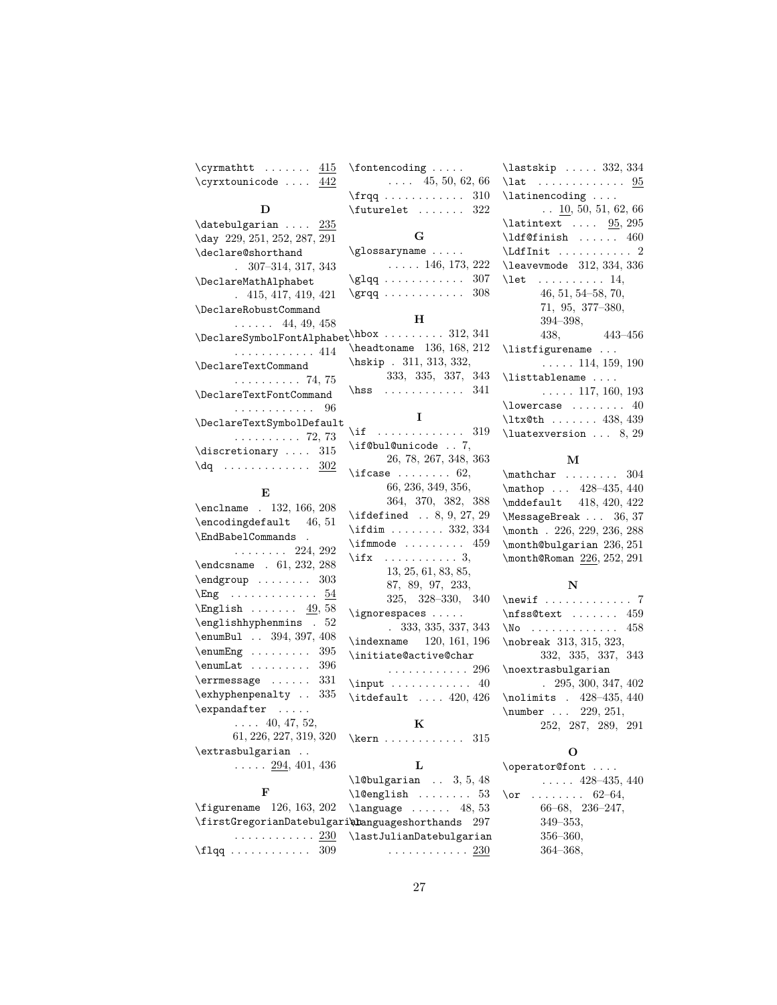$\qquad$ \cyrxtounicode . . . . 442

 $\verb+\fontencoding + \dots .$ 

 $\ldots$  45, 50, 62, 66 \frqq . . . . . . . . . . . . 310  $\label{eq:1}$ **G** \glossaryname .....

 $\text{ifcase} \dots \dots 62,$ 66, 236, 349, 356, 364, 370, 382, 388 \ifdefined . . 8, 9, 27, 29 \ifdim . . . . . . . . 332, 334  $\iintmmode$  ........ 459  $\iint x$  . . . . . . . . . . . 3, 13, 25, 61, 83, 85, 87, 89, 97, 233, 325, 328–330, 340

\ignorespaces .....

. 333, 335, 337, 343 \indexname 120, 161, 196 \initiate@active@char

. . . . . . . . . . . . 296 \input . . . . . . . . . . . . 40  $\label{eq:inter}$ **K** \kern . . . . . . . . . . . . 315 **L** \l@bulgarian . . 3, 5, 48

#### **D**

|                                                             | 1100116160  022                    |
|-------------------------------------------------------------|------------------------------------|
| $\det$ bulgarian  235                                       |                                    |
| \day 229, 251, 252, 287, 291                                | G                                  |
| \declare@shorthand                                          | $\gtrsim$ glossaryname             |
| $. \quad 307-314, 317, 343$                                 | $\ldots$ . 146, 173, 222           |
| \DeclareMathAlphabet                                        | $\qquadq \ldots \ldots \ldots 307$ |
| .415, 417, 419, 421                                         | $\qquad$ 308                       |
| \DeclareRobustCommand                                       |                                    |
| $\ldots$ 44, 49, 458                                        | н                                  |
| $\Delta$ PeclareSymbolFontAlphabet $\lambda$ hbox  312, 341 |                                    |
| . 414                                                       | \headtoname 136, 168, 212          |
| \DeclareTextCommand                                         | \hskip . 311, 313, 332,            |
| . 74, 75                                                    | 333, 335, 337, 343                 |
| \DeclareTextFontCommand                                     | $\text{Ass }  \text{ is } 341$     |
| . 96                                                        |                                    |
| \DeclareTextSymbolDefault                                   | T                                  |
| . 72, 73                                                    | \if $\dots\dots\dots\dots 319$     |
| $\text{discretionary} \dots 315$                            | \if@bul@unicode  7,                |
| $\texttt{dq}$ 302                                           | 26, 78, 267, 348, 363              |
|                                                             | $\text{ifcase} \ldots \ldots 62,$  |

#### **E**

| \enclname . 132, 166, 208                       |
|-------------------------------------------------|
| $\end{tagdefault} 46, 51$                       |
| \EndBabelCommands.                              |
| $\ldots \ldots 224, 292$                        |
| \endcsname . 61, 232, 288                       |
| $\end{group} \dots \dots 303$                   |
| $\text{Eng}$ 54                                 |
| $\text{English} \dots \dots \underline{49}, 58$ |
| \englishhyphenmins . 52                         |
| \enumBul . 394, 397, 408                        |
| $\text{enumEng } \ldots \ldots \quad 395$       |
| $\text{Lemma} 1.1.1.1.1.1.396$                  |
| $\text{Perr}$ 331                               |
| \exhyphenpenalty  335                           |
| \expandafter                                    |
| $\ldots$ 40, 47, 52,                            |
| 61, 226, 227, 319, 320                          |
| \extrasbulgarian                                |
| $\ldots$ 294, 401, 436                          |
|                                                 |

#### **F**

| $\lambda$ 20 english  53                             |
|------------------------------------------------------|
| $\text{Figure}$ name 126, 163, 202 \language  48, 53 |
| \firstGregorianDatebulgari\manguageshorthands 297    |
| $\ldots \ldots \ldots 230$ \lastJulianDatebulgarian  |
| . 230                                                |

| $\lambda$ 332, 334                                                                                                                                                                                      |
|---------------------------------------------------------------------------------------------------------------------------------------------------------------------------------------------------------|
| $\lambda$ 95                                                                                                                                                                                            |
| $\lambda$                                                                                                                                                                                               |
| $\ldots$ 10, 50, 51, 62, 66                                                                                                                                                                             |
| $\lambda$ 1atintext  95, 295                                                                                                                                                                            |
| $\left\{\text{defining}\dots\right\}$                                                                                                                                                                   |
| $\left\{ \right. \left\{ \right. \left. \left. \right. \left. \right. \left. \right. \left. \right. \left. \right. \left. \right. \right. \left. \right. \right. \left. \right. \left. \right. \right.$ |
| \leavevmode 312, 334, 336                                                                                                                                                                               |
| $\text{let} \dots \dots \dots 14,$                                                                                                                                                                      |
| $46, 51, 54-58, 70,$                                                                                                                                                                                    |
| $71, 95, 377 - 380,$                                                                                                                                                                                    |
| 394–398.                                                                                                                                                                                                |
| $443 - 456$<br>438.                                                                                                                                                                                     |
|                                                                                                                                                                                                         |
| \listfigurename                                                                                                                                                                                         |
| $\ldots$ . 114, 159, 190                                                                                                                                                                                |
| \listtablename                                                                                                                                                                                          |
| $\ldots$ 117, 160, 193                                                                                                                                                                                  |
| $\lambda$ and $\lambda$ 40                                                                                                                                                                              |
| $\texttt{ltx@th} \ldots \ldots 438, 439$                                                                                                                                                                |

#### **M**

 $\mathcal{L}$  . . . . . . . . 304 \mathop ... 428-435, 440 \mddefault 418, 420, 422 \MessageBreak . . . 36, 37 \month . 226, 229, 236, 288 \month@bulgarian 236, 251 \month@Roman 226, 252, 291

#### **N**

| \nfss@text  459              |
|------------------------------|
| $N$ o  458                   |
| \nobreak 313, 315, 323,      |
| 332, 335, 337, 343           |
| \noextrasbulgarian           |
| $. \quad 295, 300, 347, 402$ |
| \nolimits . 428-435, 440     |
| \number  229, 251,           |
| 252, 287, 289, 291           |

#### **O**

| \operator@font          |
|-------------------------|
| $\ldots$ . 428–435, 440 |
| \or $62-64$ .           |
| $66-68$ , $236-247$ ,   |
| $349 - 353$ ,           |
| $356 - 360$ ,           |
| $364 - 368,$            |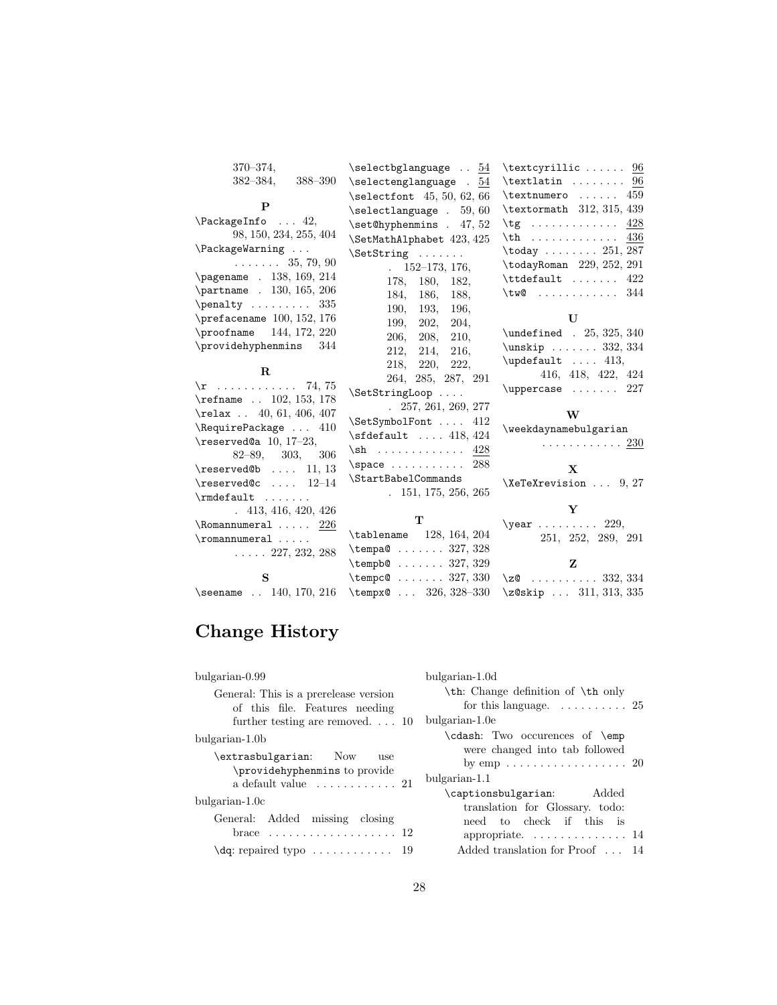| $370 - 374$ ,                      | $\setminus$ selectbglanguage  54                                                   | $\text{textcyrillic} \dots 96$                                  |
|------------------------------------|------------------------------------------------------------------------------------|-----------------------------------------------------------------|
| $382 - 384$ ,<br>388-390           | $\setminus$ selectenglanguage . 54                                                 | $\text{textlatin} \dots \dots 96$                               |
|                                    | $\setminus$ selectfont 45, 50, 62, 66                                              | $\text{textnumero} \dots 459$                                   |
| P                                  | $\setminus$ selectlanguage . 59,60                                                 | \textormath 312, 315, 439                                       |
| $\Re$ PackageInfo  42,             | $\setminus$ set@hyphenmins . 47, 52                                                | $\text{tg} \ldots \ldots \ldots 428$                            |
| 98, 150, 234, 255, 404             | \SetMathAlphabet 423, 425                                                          | 436<br>$\th$                                                    |
| $\Re$ PackageWarning               | $\Set{String  $                                                                    | $\text{today} \ldots \ldots 251, 287$                           |
| $\ldots \ldots 35, 79, 90$         | $152 - 173$ , 176,                                                                 | \todayRoman 229, 252, 291                                       |
| \pagename . 138, 169, 214          | 180, 182,<br>178.                                                                  | $\text{ttdefault} \dots \dots \ 422$                            |
| \partname . 130, 165, 206          | 184.<br>186.<br>188.                                                               | $\texttt{two} \dots \dots \dots 344$                            |
| $\penalty \dots \dots \ 335$       | 190, 193, 196,                                                                     |                                                                 |
| \prefacename $100, 152, 176$       | 202, 204,<br>199.                                                                  | $\mathbf{U}$                                                    |
| \proofname 144, 172, 220           | 206,<br>208.<br>210.                                                               | \undefined . 25, 325, 340                                       |
| \providehyphenmins 344             | 212,<br>214, 216,                                                                  | $\unskip 1.5cm \text{and} \quad \ldots 332, 334$                |
|                                    | 220, 222,<br>218,                                                                  | $\begin{bmatrix} \text{update} \\ \text{aligned} \end{bmatrix}$ |
| $\mathbf R$                        | 264, 285, 287, 291                                                                 | 416, 418, 422, 424                                              |
| $\rightharpoonup$ 74, 75           | \SetStringLoop                                                                     | $\u$ ppercase  227                                              |
| \refname  102, 153, 178            | $. \quad 257, 261, 269, 277$                                                       |                                                                 |
| $\text{relax}$ 40, 61, 406, 407    | \SetSymbolFont  412                                                                | W                                                               |
| \RequirePackage  410               | $\setminus$ sfdefault  418, 424                                                    | \weekdaynamebulgarian                                           |
| $\text{Vec}$ 10, 17-23,            | $\sh$ 428                                                                          | . 230                                                           |
| $82 - 89, 303,$<br>306             | $\space$ space  288                                                                |                                                                 |
| $\text{C}$ 11, 13                  | \StartBabelCommands                                                                | $\mathbf{X}$                                                    |
| $\text{Vreserved@c } \ldots 12-14$ | 151, 175, 256, 265                                                                 | $\XeTeXrevision \dots 9, 27$                                    |
| $\mathcal{I} \ldots \ldots$        |                                                                                    | Y                                                               |
| .413, 416, 420, 426                | T                                                                                  | $\text{year}$ 229,                                              |
| $\lambda$ 226<br>$\Gamma \ldots$   | $\theta$ 128, 164, 204                                                             | 251, 252, 289, 291                                              |
|                                    | $\text{tempa@ } \ldots \ldots 327, 328$                                            |                                                                 |
| $\ldots$ $227, 232, 288$           |                                                                                    |                                                                 |
|                                    |                                                                                    | Z                                                               |
| S                                  | $\tempb@ \ldots 327, 329$                                                          |                                                                 |
| \seename  140, 170, 216            | $\text{tempc@ } \ldots \ldots \quad 327,330$<br>\tempx $\& \ldots \& 326, 328-330$ | \z $\&$ 332, 334<br>$\zeta$ 20skip  311, 313, 335               |

# **Change History**

| bulgarian-1.0d                                         |
|--------------------------------------------------------|
| \th: Change definition of \th only                     |
| for this language. $\dots \dots \dots 25$              |
| bulgarian-1.0e                                         |
| \cdash: Two occurences of \emp                         |
| were changed into tab followed                         |
| bulgarian-1.1<br>Added                                 |
| \captionsbulgarian:<br>translation for Glossary. todo: |
| need to check if this is                               |
|                                                        |
| Added translation for Proof 14                         |
|                                                        |